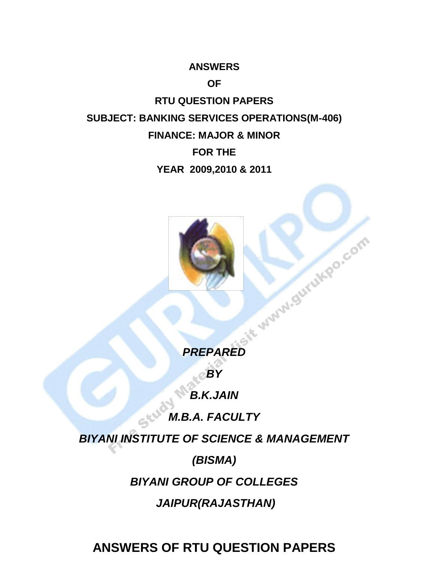#### **ANSWERS**

### **OF**

**RTU QUESTION PAPERS SUBJECT: BANKING SERVICES OPERATIONS(M-406) FINANCE: MAJOR & MINOR FOR THE YEAR 2009,2010 & 2011**



*BY*

*B.K.JAIN*

*M.B.A. FACULTY*

SK

*BIYANI INSTITUTE OF SCIENCE & MANAGEMENT*

*(BISMA)*

*BIYANI GROUP OF COLLEGES*

*JAIPUR(RAJASTHAN)*

**ANSWERS OF RTU QUESTION PAPERS**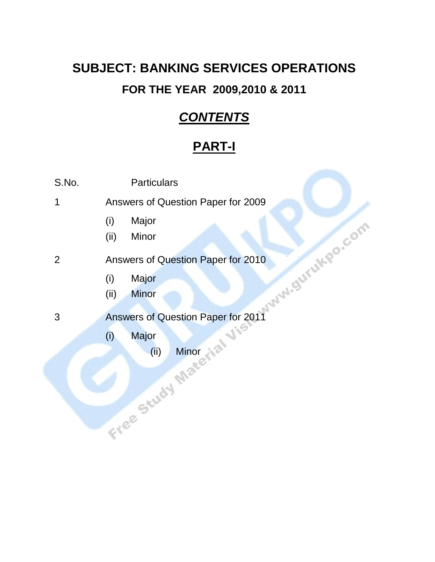# **SUBJECT: BANKING SERVICES OPERATIONS FOR THE YEAR 2009,2010 & 2011**

## *CONTENTS*

# **PART-I**

| wilhor<br>wilhor<br>Answers of Question Paper for 2011<br>View Contract of Mine Mine |
|--------------------------------------------------------------------------------------|
|                                                                                      |
|                                                                                      |
|                                                                                      |
|                                                                                      |
|                                                                                      |
|                                                                                      |
|                                                                                      |
|                                                                                      |
|                                                                                      |
|                                                                                      |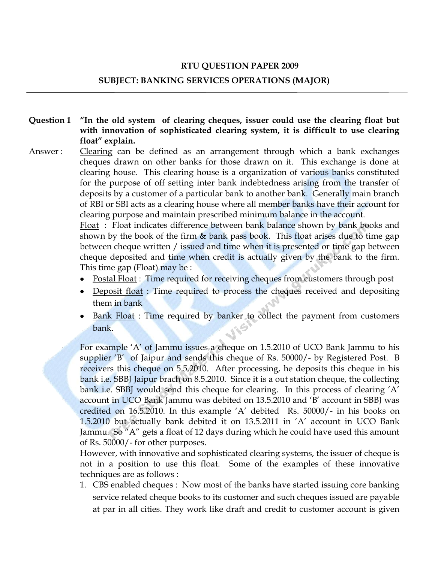#### **RTU QUESTION PAPER 2009**

#### **SUBJECT: BANKING SERVICES OPERATIONS (MAJOR)**

- **Question 1 "In the old system of clearing cheques, issuer could use the clearing float but with innovation of sophisticated clearing system, it is difficult to use clearing float" explain.**
- Answer : Clearing can be defined as an arrangement through which a bank exchanges cheques drawn on other banks for those drawn on it. This exchange is done at clearing house. This clearing house is a organization of various banks constituted for the purpose of off setting inter bank indebtedness arising from the transfer of deposits by a customer of a particular bank to another bank. Generally main branch of RBI or SBI acts as a clearing house where all member banks have their account for clearing purpose and maintain prescribed minimum balance in the account.

Float: Float indicates difference between bank balance shown by bank books and shown by the book of the firm  $\&$  bank pass book. This float arises due to time gap between cheque written / issued and time when it is presented or time gap between cheque deposited and time when credit is actually given by the bank to the firm. This time gap (Float) may be :

- Postal Float : Time required for receiving cheques from customers through post
- Deposit float : Time required to process the cheques received and depositing them in bank
- Bank Float : Time required by banker to collect the payment from customers bank.

For example "A" of Jammu issues a cheque on 1.5.2010 of UCO Bank Jammu to his supplier 'B' of Jaipur and sends this cheque of Rs. 50000/- by Registered Post. B receivers this cheque on 5.5.2010. After processing, he deposits this cheque in his bank i.e. SBBJ Jaipur brach on 8.5.2010. Since it is a out station cheque, the collecting bank i.e. SBBJ would send this cheque for clearing. In this process of clearing 'A' account in UCO Bank Jammu was debited on 13.5.2010 and "B" account in SBBJ was credited on 16.5.2010. In this example "A" debited Rs. 50000/- in his books on 1.5.2010 but actually bank debited it on 13.5.2011 in "A" account in UCO Bank Jammu. So "A" gets a float of 12 days during which he could have used this amount of Rs. 50000/- for other purposes.

However, with innovative and sophisticated clearing systems, the issuer of cheque is not in a position to use this float. Some of the examples of these innovative techniques are as follows :

1. CBS enabled cheques : Now most of the banks have started issuing core banking service related cheque books to its customer and such cheques issued are payable at par in all cities. They work like draft and credit to customer account is given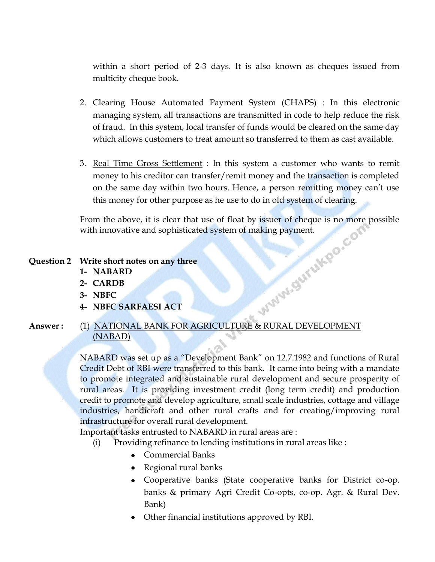within a short period of 2-3 days. It is also known as cheques issued from multicity cheque book.

- 2. Clearing House Automated Payment System (CHAPS) : In this electronic managing system, all transactions are transmitted in code to help reduce the risk of fraud. In this system, local transfer of funds would be cleared on the same day which allows customers to treat amount so transferred to them as cast available.
- 3. Real Time Gross Settlement : In this system a customer who wants to remit money to his creditor can transfer/remit money and the transaction is completed on the same day within two hours. Hence, a person remitting money can't use this money for other purpose as he use to do in old system of clearing.

From the above, it is clear that use of float by issuer of cheque is no more possible<br>with innovative and sophisticated system of making payment.<br>Write short notes on any three<br>1- NABARD<br>2- CARDB<br>3- NBFC<br>4- NBFC SARFAFS with innovative and sophisticated system of making payment.

#### **Question 2 Write short notes on any three**

- **1- NABARD**
- **2- CARDB**
- **3- NBFC**
- **4- NBFC SARFAESI ACT**
- **Answer :** (1) NATIONAL BANK FOR AGRICULTURE & RURAL DEVELOPMENT (NABAD)

NABARD was set up as a "Development Bank" on 12.7.1982 and functions of Rural Credit Debt of RBI were transferred to this bank. It came into being with a mandate to promote integrated and sustainable rural development and secure prosperity of rural areas. It is providing investment credit (long term credit) and production credit to promote and develop agriculture, small scale industries, cottage and village industries, handicraft and other rural crafts and for creating/improving rural infrastructure for overall rural development.

Important tasks entrusted to NABARD in rural areas are :

(i) Providing refinance to lending institutions in rural areas like :

- Commercial Banks
- Regional rural banks
- Cooperative banks (State cooperative banks for District co-op. banks & primary Agri Credit Co-opts, co-op. Agr. & Rural Dev. Bank)
- Other financial institutions approved by RBI.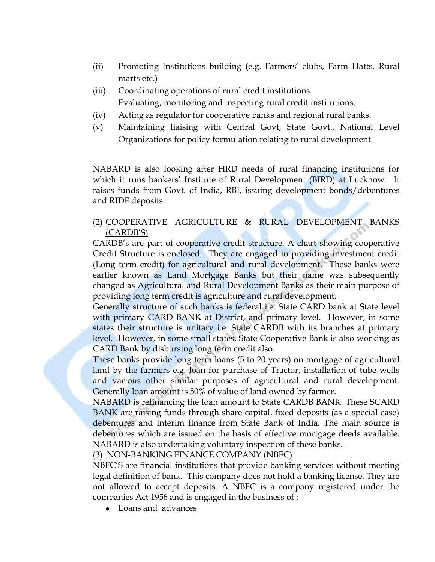- (ii) Promoting Institutions building (e.g. Farmers" clubs, Farm Hatts, Rural marts etc.)
- (iii) Coordinating operations of rural credit institutions. Evaluating, monitoring and inspecting rural credit institutions.
- (iv) Acting as regulator for cooperative banks and regional rural banks.
- (v) Maintaining liaising with Central Govt, State Govt., National Level Organizations for policy formulation relating to rural development.

NABARD is also looking after HRD needs of rural financing institutions for which it runs bankers' Institute of Rural Development (BIRD) at Lucknow. It raises funds from Govt. of India, RBI, issuing development bonds/debentures and RIDF deposits.

#### (2) COOPERATIVE AGRICULTURE & RURAL DEVELOPMENT BANKS (CARDB"S)

CARDB"s are part of cooperative credit structure. A chart showing cooperative Credit Structure is enclosed. They are engaged in providing investment credit (Long term credit) for agricultural and rural development. These banks were earlier known as Land Mortgage Banks but their name was subsequently changed as Agricultural and Rural Development Banks as their main purpose of providing long term credit is agriculture and rural development.

Generally structure of such banks is federal i.e. State CARD bank at State level with primary CARD BANK at District, and primary level. However, in some states their structure is unitary i.e. State CARDB with its branches at primary level. However, in some small states, State Cooperative Bank is also working as CARD Bank by disbursing long term credit also.

These banks provide long term loans (5 to 20 years) on mortgage of agricultural land by the farmers e.g. loan for purchase of Tractor, installation of tube wells and various other similar purposes of agricultural and rural development. Generally loan amount is 50% of value of land owned by farmer.

NABARD is refinancing the loan amount to State CARDB BANK. These SCARD BANK are raising funds through share capital, fixed deposits (as a special case) debentures and interim finance from State Bank of India. The main source is debentures which are issued on the basis of effective mortgage deeds available. NABARD is also undertaking voluntary inspection of these banks.

(3) NON-BANKING FINANCE COMPANY (NBFC)

NBFC"S are financial institutions that provide banking services without meeting legal definition of bank. This company does not hold a banking license. They are not allowed to accept deposits. A NBFC is a company registered under the companies Act 1956 and is engaged in the business of :

• Loans and advances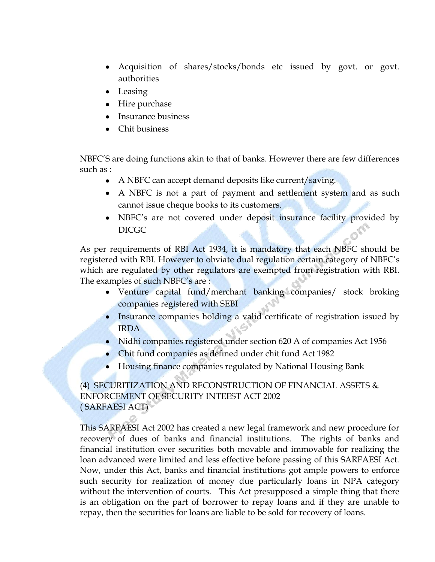- Acquisition of shares/stocks/bonds etc issued by govt. or govt. authorities
- Leasing
- Hire purchase
- Insurance business
- Chit business

NBFC"S are doing functions akin to that of banks. However there are few differences such as :

- A NBFC can accept demand deposits like current/saving.
- A NBFC is not a part of payment and settlement system and as such cannot issue cheque books to its customers.
- NBFC's are not covered under deposit insurance facility provided by DICGC

As per requirements of RBI Act 1934, it is mandatory that each NBFC should be registered with RBI. However to obviate dual regulation certain category of NBFC"s which are regulated by other regulators are exempted from registration with RBI. The examples of such NBFC's are :

- Venture capital fund/merchant banking companies/ stock broking companies registered with SEBI
- Insurance companies holding a valid certificate of registration issued by IRDA
- Nidhi companies registered under section 620 A of companies Act 1956
- Chit fund companies as defined under chit fund Act 1982
- Housing finance companies regulated by National Housing Bank

#### (4) SECURITIZATION AND RECONSTRUCTION OF FINANCIAL ASSETS & ENFORCEMENT OF SECURITY INTEEST ACT 2002 ( SARFAESI ACT)

This SARFAESI Act 2002 has created a new legal framework and new procedure for recovery of dues of banks and financial institutions. The rights of banks and financial institution over securities both movable and immovable for realizing the loan advanced were limited and less effective before passing of this SARFAESI Act. Now, under this Act, banks and financial institutions got ample powers to enforce such security for realization of money due particularly loans in NPA category without the intervention of courts. This Act presupposed a simple thing that there is an obligation on the part of borrower to repay loans and if they are unable to repay, then the securities for loans are liable to be sold for recovery of loans.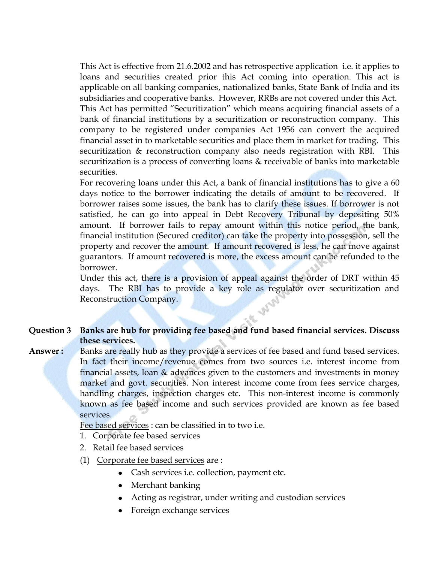This Act is effective from 21.6.2002 and has retrospective application i.e. it applies to loans and securities created prior this Act coming into operation. This act is applicable on all banking companies, nationalized banks, State Bank of India and its subsidiaries and cooperative banks. However, RRBs are not covered under this Act. This Act has permitted "Securitization" which means acquiring financial assets of a bank of financial institutions by a securitization or reconstruction company. This company to be registered under companies Act 1956 can convert the acquired financial asset in to marketable securities and place them in market for trading. This securitization & reconstruction company also needs registration with RBI. This securitization is a process of converting loans & receivable of banks into marketable securities.

For recovering loans under this Act, a bank of financial institutions has to give a 60 days notice to the borrower indicating the details of amount to be recovered. If borrower raises some issues, the bank has to clarify these issues. If borrower is not satisfied, he can go into appeal in Debt Recovery Tribunal by depositing 50% amount. If borrower fails to repay amount within this notice period, the bank, financial institution (Secured creditor) can take the property into possession, sell the property and recover the amount. If amount recovered is less, he can move against guarantors. If amount recovered is more, the excess amount can be refunded to the borrower.

Under this act, there is a provision of appeal against the order of DRT within 45 days. The RBI has to provide a key role as regulator over securitization and **SALARE** Reconstruction Company.

#### **Question 3 Banks are hub for providing fee based and fund based financial services. Discuss these services.**

Answer : Banks are really hub as they provide a services of fee based and fund based services. In fact their income/revenue comes from two sources i.e. interest income from financial assets, loan & advances given to the customers and investments in money market and govt. securities. Non interest income come from fees service charges, handling charges, inspection charges etc. This non-interest income is commonly known as fee based income and such services provided are known as fee based services.

Fee based services : can be classified in to two i.e.

- 1. Corporate fee based services
- 2. Retail fee based services
- (1) Corporate fee based services are :
	- Cash services i.e. collection, payment etc.
	- Merchant banking
	- Acting as registrar, under writing and custodian services
	- Foreign exchange services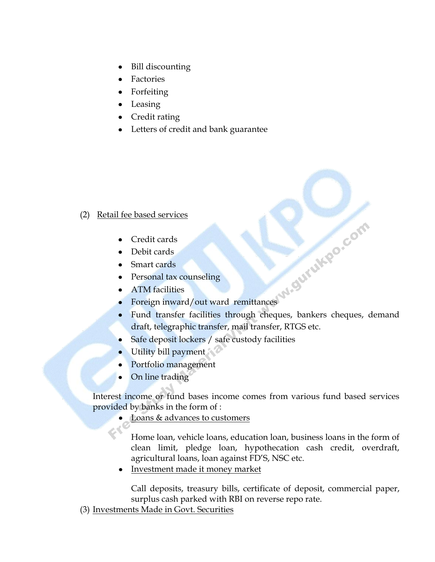- Bill discounting  $\bullet$
- Factories
- Forfeiting
- Leasing
- Credit rating
- Letters of credit and bank guarantee

#### (2) Retail fee based services

- Credit cards
- Debit cards
- Smart cards
- Personal tax counseling
- ATM facilities
- Foreign inward/out ward remittances
- Fund transfer facilities through cheques, bankers cheques, demand draft, telegraphic transfer, mail transfer, RTGS etc.
- Safe deposit lockers / safe custody facilities
- Utility bill payment
- Portfolio management
- On line trading  $\bullet$

Interest income or fund bases income comes from various fund based services provided by banks in the form of :

Loans & advances to customers

Home loan, vehicle loans, education loan, business loans in the form of clean limit, pledge loan, hypothecation cash credit, overdraft, agricultural loans, loan against FD"S, NSC etc.

Investment made it money market

Call deposits, treasury bills, certificate of deposit, commercial paper, surplus cash parked with RBI on reverse repo rate.

(3) Investments Made in Govt. Securities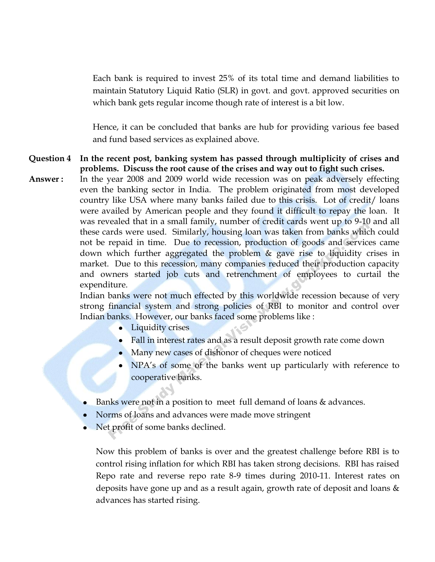Each bank is required to invest 25% of its total time and demand liabilities to maintain Statutory Liquid Ratio (SLR) in govt. and govt. approved securities on which bank gets regular income though rate of interest is a bit low.

Hence, it can be concluded that banks are hub for providing various fee based and fund based services as explained above.

- **Question 4 In the recent post, banking system has passed through multiplicity of crises and problems. Discuss the root cause of the crises and way out to fight such crises.**
- **Answer :** In the year 2008 and 2009 world wide recession was on peak adversely effecting even the banking sector in India. The problem originated from most developed country like USA where many banks failed due to this crisis. Lot of credit/ loans were availed by American people and they found it difficult to repay the loan. It was revealed that in a small family, number of credit cards went up to 9-10 and all these cards were used. Similarly, housing loan was taken from banks which could not be repaid in time. Due to recession, production of goods and services came down which further aggregated the problem & gave rise to liquidity crises in market. Due to this recession, many companies reduced their production capacity and owners started job cuts and retrenchment of employees to curtail the expenditure.

Indian banks were not much effected by this worldwide recession because of very strong financial system and strong policies of RBI to monitor and control over Indian banks. However, our banks faced some problems like :

- Liquidity crises
- Fall in interest rates and as a result deposit growth rate come down
- Many new cases of dishonor of cheques were noticed
- NPA's of some of the banks went up particularly with reference to cooperative banks.
- Banks were not in a position to meet full demand of loans & advances.
- Norms of loans and advances were made move stringent
- Net profit of some banks declined.

Now this problem of banks is over and the greatest challenge before RBI is to control rising inflation for which RBI has taken strong decisions. RBI has raised Repo rate and reverse repo rate 8-9 times during 2010-11. Interest rates on deposits have gone up and as a result again, growth rate of deposit and loans & advances has started rising.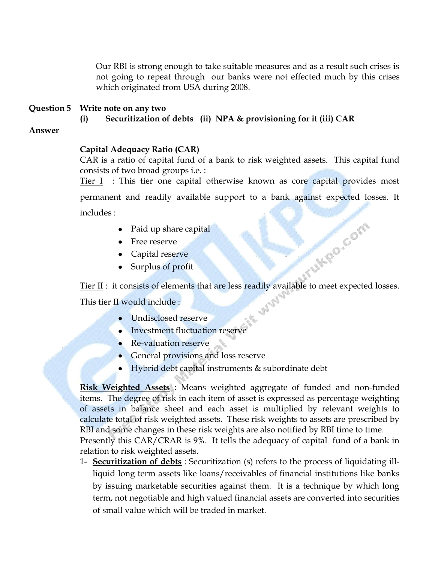Our RBI is strong enough to take suitable measures and as a result such crises is not going to repeat through our banks were not effected much by this crises which originated from USA during 2008.

#### **Question 5 Write note on any two**

**(i) Securitization of debts (ii) NPA & provisioning for it (iii) CAR**

#### **Answer**

#### **Capital Adequacy Ratio (CAR)**

CAR is a ratio of capital fund of a bank to risk weighted assets. This capital fund consists of two broad groups i.e. :

Tier I : This tier one capital otherwise known as core capital provides most

permanent and readily available support to a bank against expected losses. It includes :

- Paid up share capital
- Free reserve
- Capital reserve
- Surplus of profit

Tier II : it consists of elements that are less readily available to meet expected losses.

**SALLES** 

**COMPARATIONS** 

This tier II would include :

- Undisclosed reserve
- **Investment fluctuation reserve**
- Re-valuation reserve
- General provisions and loss reserve
- Hybrid debt capital instruments & subordinate debt

**Risk Weighted Assets** : Means weighted aggregate of funded and non-funded items. The degree of risk in each item of asset is expressed as percentage weighting of assets in balance sheet and each asset is multiplied by relevant weights to calculate total of risk weighted assets. These risk weights to assets are prescribed by RBI and some changes in these risk weights are also notified by RBI time to time. Presently this CAR/CRAR is 9%. It tells the adequacy of capital fund of a bank in

relation to risk weighted assets.

1- **Securitization of debts** : Securitization (s) refers to the process of liquidating illliquid long term assets like loans/receivables of financial institutions like banks by issuing marketable securities against them. It is a technique by which long term, not negotiable and high valued financial assets are converted into securities of small value which will be traded in market.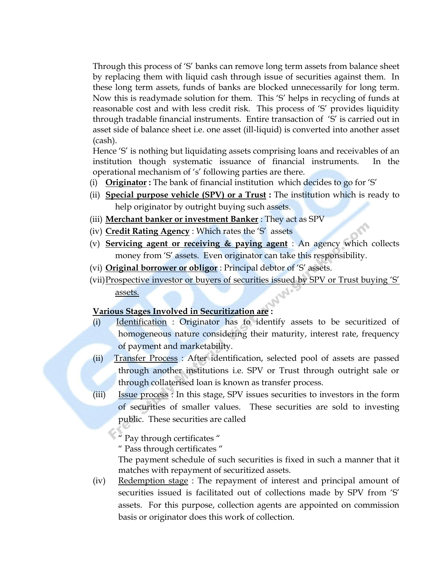Through this process of "S" banks can remove long term assets from balance sheet by replacing them with liquid cash through issue of securities against them. In these long term assets, funds of banks are blocked unnecessarily for long term. Now this is readymade solution for them. This "S" helps in recycling of funds at reasonable cost and with less credit risk. This process of "S" provides liquidity through tradable financial instruments. Entire transaction of "S" is carried out in asset side of balance sheet i.e. one asset (ill-liquid) is converted into another asset (cash).

Hence 'S' is nothing but liquidating assets comprising loans and receivables of an institution though systematic issuance of financial instruments. In the operational mechanism of "s" following parties are there.

- (i) **Originator :** The bank of financial institution which decides to go for "S"
- (ii) **Special purpose vehicle (SPV) or a Trust :** The institution which is ready to help originator by outright buying such assets.
- (iii) **Merchant banker or investment Banker** : They act as SPV
- (iv) **Credit Rating Agency** : Which rates the "S" assets
- (v) **Servicing agent or receiving & paying agent** : An agency which collects money from 'S' assets. Even originator can take this responsibility.
- (vi) **Original borrower or obligor** : Principal debtor of "S" assets.
- (vii)Prospective investor or buyers of securities issued by SPV or Trust buying "S" assets.

#### **Various Stages Involved in Securitization are :**

- (i) Identification : Originator has to identify assets to be securitized of homogeneous nature considering their maturity, interest rate, frequency of payment and marketability.
- (ii) Transfer Process : After identification, selected pool of assets are passed through another institutions i.e. SPV or Trust through outright sale or through collaterised loan is known as transfer process.
- (iii) Issue process : In this stage, SPV issues securities to investors in the form of securities of smaller values. These securities are sold to investing public. These securities are called

" Pay through certificates "

" Pass through certificates "

The payment schedule of such securities is fixed in such a manner that it matches with repayment of securitized assets.

(iv) Redemption stage : The repayment of interest and principal amount of securities issued is facilitated out of collections made by SPV from "S" assets. For this purpose, collection agents are appointed on commission basis or originator does this work of collection.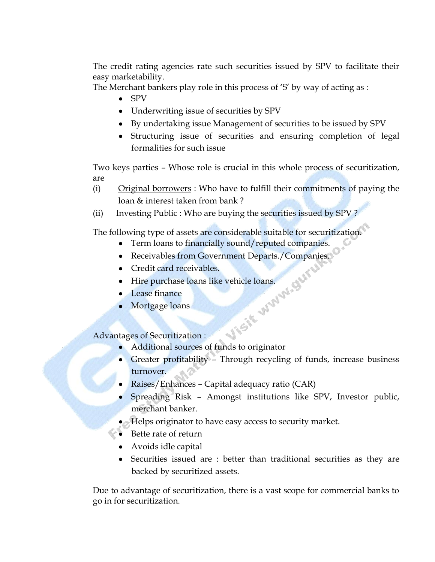The credit rating agencies rate such securities issued by SPV to facilitate their easy marketability.

The Merchant bankers play role in this process of "S" by way of acting as :

- SPV
- Underwriting issue of securities by SPV
- By undertaking issue Management of securities to be issued by SPV
- Structuring issue of securities and ensuring completion of legal formalities for such issue

Two keys parties – Whose role is crucial in this whole process of securitization, are

- (i) Original borrowers : Who have to fulfill their commitments of paying the loan & interest taken from bank ?
- (ii) Investing Public : Who are buying the securities issued by SPV?

The following type of assets are considerable suitable for securitization.

- Term loans to financially sound/reputed companies.
- Receivables from Government Departs./Companies.<br>• Credit card receivables.<br>• Hire purchase loans like vehicle loans.<br>• Lease finance<br>• Mortgage loans<br>tages of Secretic
- Credit card receivables.
- Hire purchase loans like vehicle loans.
- Lease finance
- Mortgage loans

Advantages of Securitization :

- Additional sources of funds to originator
- Greater profitability Through recycling of funds, increase business turnover.
- Raises/Enhances Capital adequacy ratio (CAR)
- Spreading Risk Amongst institutions like SPV, Investor public, merchant banker.
- Helps originator to have easy access to security market.
- Bette rate of return
- Avoids idle capital
- Securities issued are : better than traditional securities as they are backed by securitized assets.

Due to advantage of securitization, there is a vast scope for commercial banks to go in for securitization.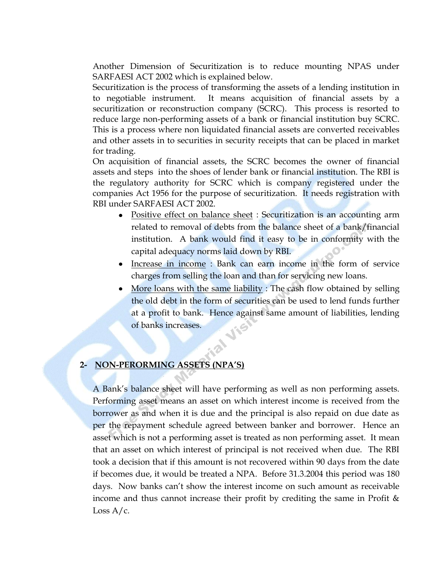Another Dimension of Securitization is to reduce mounting NPAS under SARFAESI ACT 2002 which is explained below.

Securitization is the process of transforming the assets of a lending institution in to negotiable instrument. It means acquisition of financial assets by a securitization or reconstruction company (SCRC). This process is resorted to reduce large non-performing assets of a bank or financial institution buy SCRC. This is a process where non liquidated financial assets are converted receivables and other assets in to securities in security receipts that can be placed in market for trading.

On acquisition of financial assets, the SCRC becomes the owner of financial assets and steps into the shoes of lender bank or financial institution. The RBI is the regulatory authority for SCRC which is company registered under the companies Act 1956 for the purpose of securitization. It needs registration with RBI under SARFAESI ACT 2002.

- Positive effect on balance sheet : Securitization is an accounting arm related to removal of debts from the balance sheet of a bank/financial institution. A bank would find it easy to be in conformity with the capital adequacy norms laid down by RBI.
- Increase in income : Bank can earn income in the form of service charges from selling the loan and than for servicing new loans.
- More loans with the same liability : The cash flow obtained by selling the old debt in the form of securities can be used to lend funds further at a profit to bank. Hence against same amount of liabilities, lending of banks increases.

#### **2- NON-PERORMING ASSETS (NPA"S)**

A Bank"s balance sheet will have performing as well as non performing assets. Performing asset means an asset on which interest income is received from the borrower as and when it is due and the principal is also repaid on due date as per the repayment schedule agreed between banker and borrower. Hence an asset which is not a performing asset is treated as non performing asset. It mean that an asset on which interest of principal is not received when due. The RBI took a decision that if this amount is not recovered within 90 days from the date if becomes due, it would be treated a NPA. Before 31.3.2004 this period was 180 days. Now banks can't show the interest income on such amount as receivable income and thus cannot increase their profit by crediting the same in Profit & Loss  $A/c$ .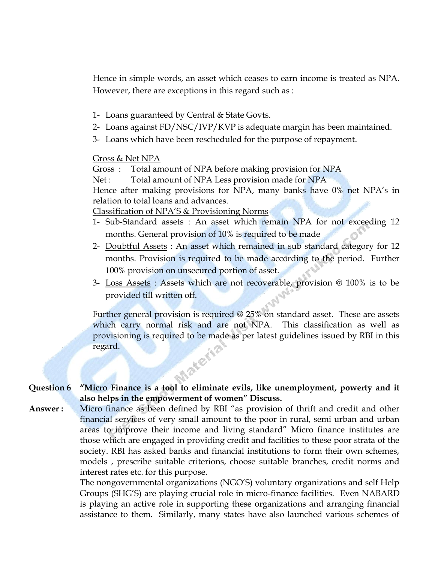Hence in simple words, an asset which ceases to earn income is treated as NPA. However, there are exceptions in this regard such as :

- 1- Loans guaranteed by Central & State Govts.
- 2- Loans against FD/NSC/IVP/KVP is adequate margin has been maintained.
- 3- Loans which have been rescheduled for the purpose of repayment.

Gross & Net NPA

Gross : Total amount of NPA before making provision for NPA

Net : Total amount of NPA Less provision made for NPA

Hence after making provisions for NPA, many banks have 0% net NPA's in relation to total loans and advances.

Classification of NPA"S & Provisioning Norms

- 1- Sub-Standard assets : An asset which remain NPA for not exceeding 12 months. General provision of 10% is required to be made
- 2- Doubtful Assets : An asset which remained in sub standard category for 12 months. Provision is required to be made according to the period. Further 100% provision on unsecured portion of asset.
- 3- Loss Assets : Assets which are not recoverable, provision @ 100% is to be provided till written off.

Further general provision is required @ 25% on standard asset. These are assets which carry normal risk and are not NPA. This classification as well as provisioning is required to be made as per latest guidelines issued by RBI in this regard. **Materia** 

**Question 6 "Micro Finance is a tool to eliminate evils, like unemployment, powerty and it also helps in the empowerment of women" Discuss.**

**Answer :** Micro finance as been defined by RBI "as provision of thrift and credit and other financial services of very small amount to the poor in rural, semi urban and urban areas to improve their income and living standard" Micro finance institutes are those which are engaged in providing credit and facilities to these poor strata of the society. RBI has asked banks and financial institutions to form their own schemes, models , prescribe suitable criterions, choose suitable branches, credit norms and interest rates etc. for this purpose.

> The nongovernmental organizations (NGO"S) voluntary organizations and self Help Groups (SHG"S) are playing crucial role in micro-finance facilities. Even NABARD is playing an active role in supporting these organizations and arranging financial assistance to them. Similarly, many states have also launched various schemes of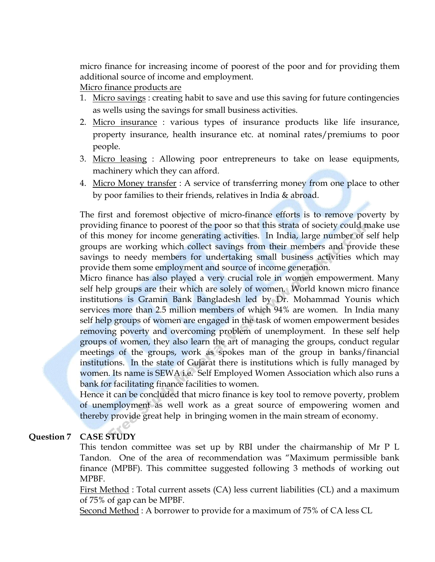micro finance for increasing income of poorest of the poor and for providing them additional source of income and employment.

Micro finance products are

- 1. Micro savings : creating habit to save and use this saving for future contingencies as wells using the savings for small business activities.
- 2. Micro insurance : various types of insurance products like life insurance, property insurance, health insurance etc. at nominal rates/premiums to poor people.
- 3. Micro leasing : Allowing poor entrepreneurs to take on lease equipments, machinery which they can afford.
- 4. Micro Money transfer : A service of transferring money from one place to other by poor families to their friends, relatives in India & abroad.

The first and foremost objective of micro-finance efforts is to remove poverty by providing finance to poorest of the poor so that this strata of society could make use of this money for income generating activities. In India, large number of self help groups are working which collect savings from their members and provide these savings to needy members for undertaking small business activities which may provide them some employment and source of income generation.

Micro finance has also played a very crucial role in women empowerment. Many self help groups are their which are solely of women. World known micro finance institutions is Gramin Bank Bangladesh led by Dr. Mohammad Younis which services more than 2.5 million members of which 94% are women. In India many self help groups of women are engaged in the task of women empowerment besides removing poverty and overcoming problem of unemployment. In these self help groups of women, they also learn the art of managing the groups, conduct regular meetings of the groups, work as spokes man of the group in banks/financial institutions. In the state of Gujarat there is institutions which is fully managed by women. Its name is SEWA i.e. Self Employed Women Association which also runs a bank for facilitating finance facilities to women.

Hence it can be concluded that micro finance is key tool to remove poverty, problem of unemployment as well work as a great source of empowering women and thereby provide great help in bringing women in the main stream of economy.

#### **Question 7 CASE STUDY**

This tendon committee was set up by RBI under the chairmanship of Mr P L Tandon. One of the area of recommendation was "Maximum permissible bank finance (MPBF). This committee suggested following 3 methods of working out MPBF.

First Method : Total current assets (CA) less current liabilities (CL) and a maximum of 75% of gap can be MPBF.

Second Method : A borrower to provide for a maximum of 75% of CA less CL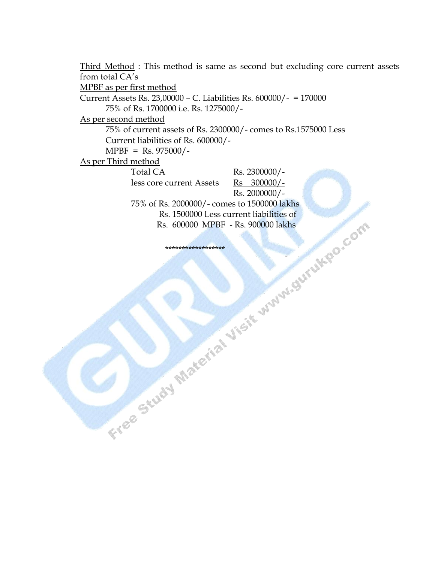Third Method : This method is same as second but excluding core current assets from total CA's MPBF as per first method Current Assets Rs. 23,00000 – C. Liabilities Rs. 600000/- = 170000 75% of Rs. 1700000 i.e. Rs. 1275000/- As per second method 75% of current assets of Rs. 2300000/- comes to Rs.1575000 Less Current liabilities of Rs. 600000/- MPBF = Rs. 975000/- As per Third method Total CA Rs. 2300000/less core current Assets Rs 300000/-Rs. 2000000/- 75% of Rs. 2000000/- comes to 1500000 lakhs Rs. 1500000 Less current liabilities of Rs. 600000 MPBF - Rs. 900000 lakhs

\*\*\*\*\*\*\*\*\*\*\*\*\*\*\*\*\*\*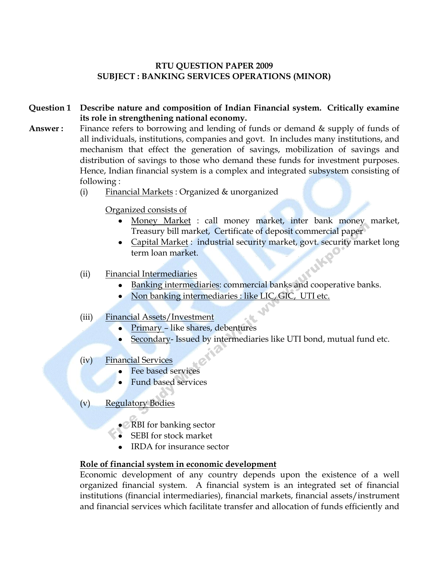#### **RTU QUESTION PAPER 2009 SUBJECT : BANKING SERVICES OPERATIONS (MINOR)**

- **Question 1 Describe nature and composition of Indian Financial system. Critically examine its role in strengthening national economy.**
- Answer: Finance refers to borrowing and lending of funds or demand & supply of funds of all individuals, institutions, companies and govt. In includes many institutions, and mechanism that effect the generation of savings, mobilization of savings and distribution of savings to those who demand these funds for investment purposes. Hence, Indian financial system is a complex and integrated subsystem consisting of following :
	- (i) Financial Markets : Organized & unorganized
		- Organized consists of
			- Money Market : call money market, inter bank money market, Treasury bill market, Certificate of deposit commercial paper
			- Capital Market : industrial security market, govt. security market long term loan market.
	- (ii) Financial Intermediaries
		- Banking intermediaries: commercial banks and cooperative banks.  $\bullet$
		- Non banking intermediaries : like LIC, GIC, UTI etc.
	- (iii) Financial Assets/Investment
		- Primary like shares, debentures
		- Secondary- Issued by intermediaries like UTI bond, mutual fund etc.
	- (iv) Financial Services
		- Fee based services
		- Fund based services
	- (v) Regulatory Bodies
		- RBI for banking sector
		- SEBI for stock market
		- IRDA for insurance sector

#### **Role of financial system in economic development**

Economic development of any country depends upon the existence of a well organized financial system. A financial system is an integrated set of financial institutions (financial intermediaries), financial markets, financial assets/instrument and financial services which facilitate transfer and allocation of funds efficiently and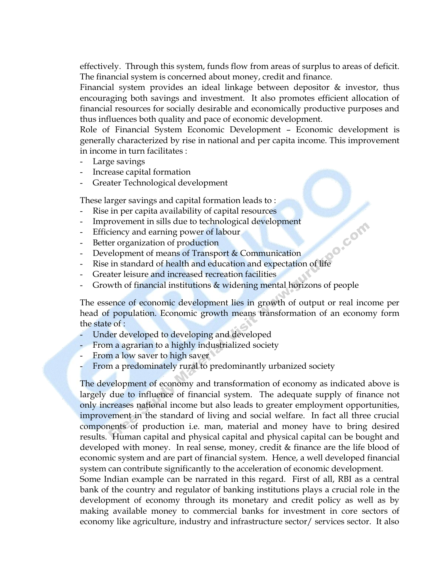effectively. Through this system, funds flow from areas of surplus to areas of deficit. The financial system is concerned about money, credit and finance.

Financial system provides an ideal linkage between depositor & investor, thus encouraging both savings and investment. It also promotes efficient allocation of financial resources for socially desirable and economically productive purposes and thus influences both quality and pace of economic development.

Role of Financial System Economic Development – Economic development is generally characterized by rise in national and per capita income. This improvement in income in turn facilitates :

- Large savings
- Increase capital formation
- Greater Technological development

These larger savings and capital formation leads to :

- Rise in per capita availability of capital resources
- Improvement in sills due to technological development
- Efficiency and earning power of labour
- Better organization of production
- Development of means of Transport & Communication
- ECT<br>
Development of means of Transport & Communication<br>
Rise in standard of health and education and expectation of life
- Greater leisure and increased recreation facilities
- Growth of financial institutions & widening mental horizons of people

The essence of economic development lies in growth of output or real income per head of population. Economic growth means transformation of an economy form the state of :

- Under developed to developing and developed
- From a agrarian to a highly industrialized society
- From a low saver to high saver
- From a predominately rural to predominantly urbanized society

The development of economy and transformation of economy as indicated above is largely due to influence of financial system. The adequate supply of finance not only increases national income but also leads to greater employment opportunities, improvement in the standard of living and social welfare. In fact all three crucial components of production i.e. man, material and money have to bring desired results. Human capital and physical capital and physical capital can be bought and developed with money. In real sense, money, credit & finance are the life blood of economic system and are part of financial system. Hence, a well developed financial system can contribute significantly to the acceleration of economic development.

Some Indian example can be narrated in this regard. First of all, RBI as a central bank of the country and regulator of banking institutions plays a crucial role in the development of economy through its monetary and credit policy as well as by making available money to commercial banks for investment in core sectors of economy like agriculture, industry and infrastructure sector/ services sector. It also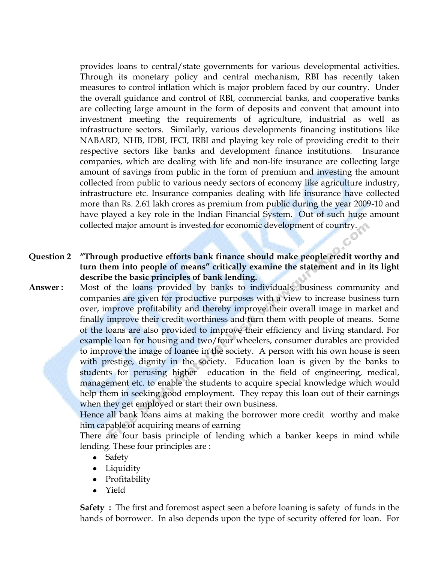provides loans to central/state governments for various developmental activities. Through its monetary policy and central mechanism, RBI has recently taken measures to control inflation which is major problem faced by our country. Under the overall guidance and control of RBI, commercial banks, and cooperative banks are collecting large amount in the form of deposits and convent that amount into investment meeting the requirements of agriculture, industrial as well as infrastructure sectors. Similarly, various developments financing institutions like NABARD, NHB, IDBI, IFCI, IRBI and playing key role of providing credit to their respective sectors like banks and development finance institutions. Insurance companies, which are dealing with life and non-life insurance are collecting large amount of savings from public in the form of premium and investing the amount collected from public to various needy sectors of economy like agriculture industry, infrastructure etc. Insurance companies dealing with life insurance have collected more than Rs. 2.61 lakh crores as premium from public during the year 2009-10 and have played a key role in the Indian Financial System. Out of such huge amount collected major amount is invested for economic development of country.

- **Question 2 "Through productive efforts bank finance should make people credit worthy and turn them into people of means" critically examine the statement and in its light describe the basic principles of bank lending.**
- **Answer :** Most of the loans provided by banks to individuals, business community and companies are given for productive purposes with a view to increase business turn over, improve profitability and thereby improve their overall image in market and finally improve their credit worthiness and turn them with people of means. Some of the loans are also provided to improve their efficiency and living standard. For example loan for housing and two/four wheelers, consumer durables are provided to improve the image of loanee in the society. A person with his own house is seen with prestige, dignity in the society. Education loan is given by the banks to students for perusing higher education in the field of engineering, medical, management etc. to enable the students to acquire special knowledge which would help them in seeking good employment. They repay this loan out of their earnings when they get employed or start their own business.

Hence all bank loans aims at making the borrower more credit worthy and make him capable of acquiring means of earning

There are four basis principle of lending which a banker keeps in mind while lending. These four principles are :

- Safety
- Liquidity
- Profitability
- Yield

**Safety :** The first and foremost aspect seen a before loaning is safety of funds in the hands of borrower. In also depends upon the type of security offered for loan. For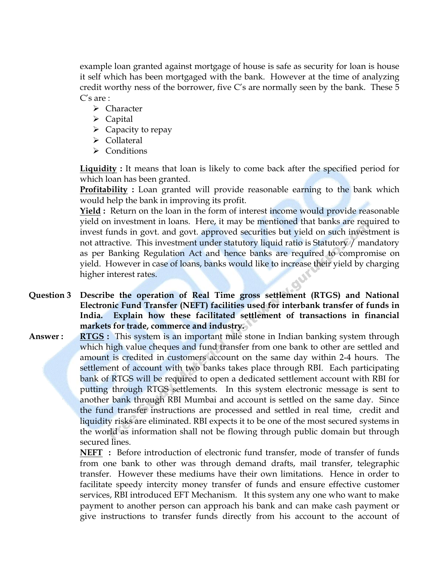example loan granted against mortgage of house is safe as security for loan is house it self which has been mortgaged with the bank. However at the time of analyzing credit worthy ness of the borrower, five C's are normally seen by the bank. These  $5$ C's are :

- > Character
- > Capital
- $\triangleright$  Capacity to repay
- **►** Collateral
- $\triangleright$  Conditions

**Liquidity :** It means that loan is likely to come back after the specified period for which loan has been granted.

**Profitability** : Loan granted will provide reasonable earning to the bank which would help the bank in improving its profit.

**Yield :** Return on the loan in the form of interest income would provide reasonable yield on investment in loans. Here, it may be mentioned that banks are required to invest funds in govt. and govt. approved securities but yield on such investment is not attractive. This investment under statutory liquid ratio is Statutory / mandatory as per Banking Regulation Act and hence banks are required to compromise on yield. However in case of loans, banks would like to increase their yield by charging higher interest rates.

- **Question 3 Describe the operation of Real Time gross settlement (RTGS) and National Electronic Fund Transfer (NEFT) facilities used for interbank transfer of funds in India. Explain how these facilitated settlement of transactions in financial markets for trade, commerce and industry.**
- **Answer : RTGS** : This system is an important mile stone in Indian banking system through which high value cheques and fund transfer from one bank to other are settled and amount is credited in customers account on the same day within 2-4 hours. The settlement of account with two banks takes place through RBI. Each participating bank of RTGS will be required to open a dedicated settlement account with RBI for putting through RTGS settlements. In this system electronic message is sent to another bank through RBI Mumbai and account is settled on the same day. Since the fund transfer instructions are processed and settled in real time, credit and liquidity risks are eliminated. RBI expects it to be one of the most secured systems in the world as information shall not be flowing through public domain but through secured lines.

**NEFT :** Before introduction of electronic fund transfer, mode of transfer of funds from one bank to other was through demand drafts, mail transfer, telegraphic transfer. However these mediums have their own limitations. Hence in order to facilitate speedy intercity money transfer of funds and ensure effective customer services, RBI introduced EFT Mechanism. It this system any one who want to make payment to another person can approach his bank and can make cash payment or give instructions to transfer funds directly from his account to the account of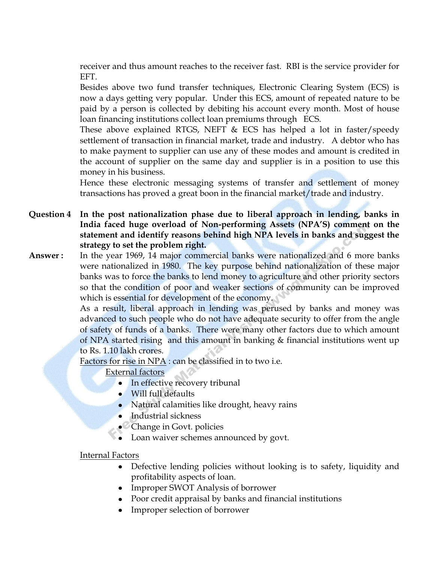receiver and thus amount reaches to the receiver fast. RBI is the service provider for EFT.

Besides above two fund transfer techniques, Electronic Clearing System (ECS) is now a days getting very popular. Under this ECS, amount of repeated nature to be paid by a person is collected by debiting his account every month. Most of house loan financing institutions collect loan premiums through ECS.

These above explained RTGS, NEFT & ECS has helped a lot in faster/speedy settlement of transaction in financial market, trade and industry. A debtor who has to make payment to supplier can use any of these modes and amount is credited in the account of supplier on the same day and supplier is in a position to use this money in his business.

Hence these electronic messaging systems of transfer and settlement of money transactions has proved a great boon in the financial market/trade and industry.

**Question 4 In the post nationalization phase due to liberal approach in lending, banks in India faced huge overload of Non-performing Assets (NPA"S) comment on the statement and identify reasons behind high NPA levels in banks and suggest the strategy to set the problem right.**

**Answer :** In the year 1969, 14 major commercial banks were nationalized and 6 more banks were nationalized in 1980. The key purpose behind nationalization of these major banks was to force the banks to lend money to agriculture and other priority sectors so that the condition of poor and weaker sections of community can be improved which is essential for development of the economy.

> As a result, liberal approach in lending was perused by banks and money was advanced to such people who do not have adequate security to offer from the angle of safety of funds of a banks. There were many other factors due to which amount of NPA started rising and this amount in banking & financial institutions went up to Rs. 1.10 lakh crores.

Factors for rise in NPA : can be classified in to two i.e.

External factors

- In effective recovery tribunal
- Will full defaults
- Natural calamities like drought, heavy rains
- Industrial sickness
- Change in Govt. policies
- Loan waiver schemes announced by govt.  $\bullet$

#### Internal Factors

- Defective lending policies without looking is to safety, liquidity and profitability aspects of loan.
- Improper SWOT Analysis of borrower
- Poor credit appraisal by banks and financial institutions
- Improper selection of borrower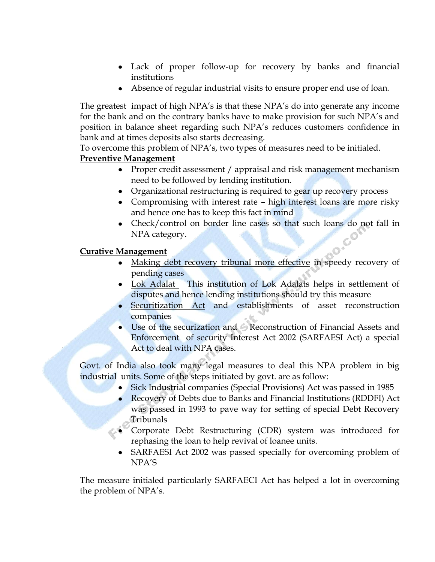- Lack of proper follow-up for recovery by banks and financial institutions
- Absence of regular industrial visits to ensure proper end use of loan.

The greatest impact of high NPA's is that these NPA's do into generate any income for the bank and on the contrary banks have to make provision for such NPA"s and position in balance sheet regarding such NPA"s reduces customers confidence in bank and at times deposits also starts decreasing.

To overcome this problem of NPA"s, two types of measures need to be initialed.

#### **Preventive Management**

- Proper credit assessment / appraisal and risk management mechanism need to be followed by lending institution.
- Organizational restructuring is required to gear up recovery process
- Compromising with interest rate high interest loans are more risky and hence one has to keep this fact in mind
- Check/control on border line cases so that such loans do not fall in NPA category.

#### **Curative Management**

- Making debt recovery tribunal more effective in speedy recovery of pending cases
- Lok Adalat This institution of Lok Adalats helps in settlement of disputes and hence lending institutions should try this measure
- Securitization Act and establishments of asset reconstruction companies
- Use of the securization and Reconstruction of Financial Assets and Enforcement of security Interest Act 2002 (SARFAESI Act) a special Act to deal with NPA cases.

Govt. of India also took many legal measures to deal this NPA problem in big industrial units. Some of the steps initiated by govt. are as follow:

- $\bullet$ Sick Industrial companies (Special Provisions) Act was passed in 1985
- Recovery of Debts due to Banks and Financial Institutions (RDDFI) Act was passed in 1993 to pave way for setting of special Debt Recovery Tribunals
- Corporate Debt Restructuring (CDR) system was introduced for rephasing the loan to help revival of loanee units.
- SARFAESI Act 2002 was passed specially for overcoming problem of NPA"S

The measure initialed particularly SARFAECI Act has helped a lot in overcoming the problem of NPA's.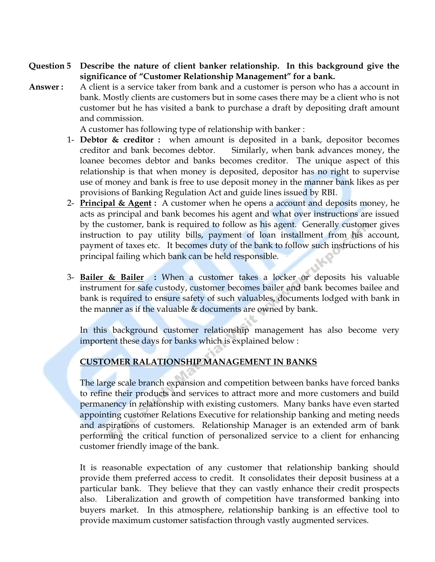- **Question 5 Describe the nature of client banker relationship. In this background give the significance of "Customer Relationship Management" for a bank.**
- **Answer :** A client is a service taker from bank and a customer is person who has a account in bank. Mostly clients are customers but in some cases there may be a client who is not customer but he has visited a bank to purchase a draft by depositing draft amount and commission.

A customer has following type of relationship with banker :

- 1- **Debtor & creditor :** when amount is deposited in a bank, depositor becomes creditor and bank becomes debtor. Similarly, when bank advances money, the loanee becomes debtor and banks becomes creditor. The unique aspect of this relationship is that when money is deposited, depositor has no right to supervise use of money and bank is free to use deposit money in the manner bank likes as per provisions of Banking Regulation Act and guide lines issued by RBI.
- 2- **Principal & Agent :** A customer when he opens a account and deposits money, he acts as principal and bank becomes his agent and what over instructions are issued by the customer, bank is required to follow as his agent. Generally customer gives instruction to pay utility bills, payment of loan installment from his account, payment of taxes etc. It becomes duty of the bank to follow such instructions of his principal failing which bank can be held responsible.
- 3- **Bailer & Bailer :** When a customer takes a locker or deposits his valuable instrument for safe custody, customer becomes bailer and bank becomes bailee and bank is required to ensure safety of such valuables, documents lodged with bank in the manner as if the valuable & documents are owned by bank.

In this background customer relationship management has also become very importent these days for banks which is explained below :

#### **CUSTOMER RALATIONSHIP MANAGEMENT IN BANKS**

The large scale branch expansion and competition between banks have forced banks to refine their products and services to attract more and more customers and build permanency in relationship with existing customers. Many banks have even started appointing customer Relations Executive for relationship banking and meting needs and aspirations of customers. Relationship Manager is an extended arm of bank performing the critical function of personalized service to a client for enhancing customer friendly image of the bank.

It is reasonable expectation of any customer that relationship banking should provide them preferred access to credit. It consolidates their deposit business at a particular bank. They believe that they can vastly enhance their credit prospects also. Liberalization and growth of competition have transformed banking into buyers market. In this atmosphere, relationship banking is an effective tool to provide maximum customer satisfaction through vastly augmented services.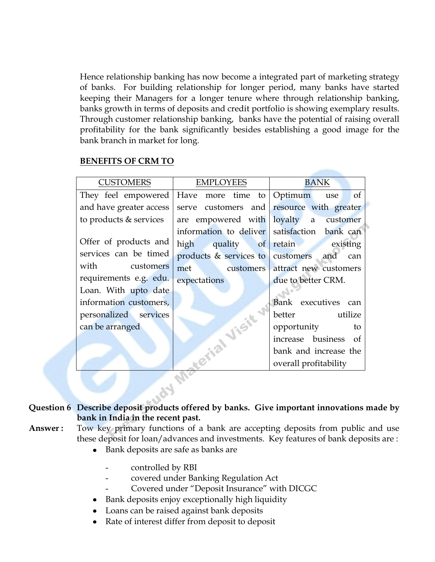Hence relationship banking has now become a integrated part of marketing strategy of banks. For building relationship for longer period, many banks have started keeping their Managers for a longer tenure where through relationship banking, banks growth in terms of deposits and credit portfolio is showing exemplary results. Through customer relationship banking, banks have the potential of raising overall profitability for the bank significantly besides establishing a good image for the bank branch in market for long.

#### **BENEFITS OF CRM TO**

| <b>CUSTOMERS</b>        | <b>EMPLOYEES</b>                          | <b>BANK</b>                                  |
|-------------------------|-------------------------------------------|----------------------------------------------|
| They feel empowered     | Have more time to Optimum use             | of                                           |
| and have greater access | serve customers and resource with greater |                                              |
| to products & services  | are empowered with loyalty a              | customer                                     |
|                         |                                           | information to deliver satisfaction bank can |
| Offer of products and   | high quality of retain existing           |                                              |
| services can be timed   | products & services to customers and can  |                                              |
| with customers          | met customers attract new customers       |                                              |
| requirements e.g. edu.  | expectations                              | due to better CRM.                           |
| Loan. With upto date    |                                           |                                              |
| information customers,  |                                           | Bank executives can                          |
| personalized services   |                                           | better utilize                               |
| can be arranged         |                                           | opportunity<br>to                            |
|                         |                                           | increase business of                         |
|                         |                                           | bank and increase the                        |
|                         |                                           | overall profitability                        |
|                         |                                           |                                              |

#### **Question 6 Describe deposit products offered by banks. Give important innovations made by bank in India in the recent past.**

- **Answer :** Tow key primary functions of a bank are accepting deposits from public and use these deposit for loan/advances and investments. Key features of bank deposits are :
	- Bank deposits are safe as banks are
		- controlled by RBI
		- covered under Banking Regulation Act
		- Covered under "Deposit Insurance" with DICGC
	- Bank deposits enjoy exceptionally high liquidity
	- Loans can be raised against bank deposits
	- Rate of interest differ from deposit to deposit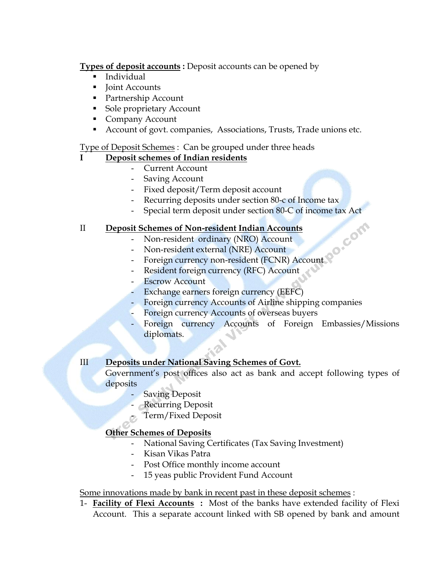**Types of deposit accounts :** Deposit accounts can be opened by

- Individual
- lie Joint Accounts
- Partnership Account
- **Sole proprietary Account**
- Company Account
- Account of govt. companies, Associations, Trusts, Trade unions etc.

#### Type of Deposit Schemes : Can be grouped under three heads

#### **I Deposit schemes of Indian residents**

- Current Account
- Saving Account
- Fixed deposit/Term deposit account
- Recurring deposits under section 80-c of Income tax
- Special term deposit under section 80-C of income tax Act

#### II **Deposit Schemes of Non-resident Indian Accounts**

- Non-resident ordinary (NRO) Account
- Non-resident external (NRE) Account
- Foreign currency non-resident (FCNR) Account
- Resident foreign currency (RFC) Account
- Escrow Account
- Exchange earners foreign currency (EEFC)
- Foreign currency Accounts of Airline shipping companies
- Foreign currency Accounts of overseas buyers
- Foreign currency Accounts of Foreign Embassies/Missions diplomats.

#### III **Deposits under National Saving Schemes of Govt.**

Government's post offices also act as bank and accept following types of deposits

- **Saving Deposit**
- Recurring Deposit
- Term/Fixed Deposit

#### **Other Schemes of Deposits**

- National Saving Certificates (Tax Saving Investment)
- Kisan Vikas Patra
- Post Office monthly income account
- 15 yeas public Provident Fund Account

#### Some innovations made by bank in recent past in these deposit schemes :

1- **Facility of Flexi Accounts :** Most of the banks have extended facility of Flexi Account. This a separate account linked with SB opened by bank and amount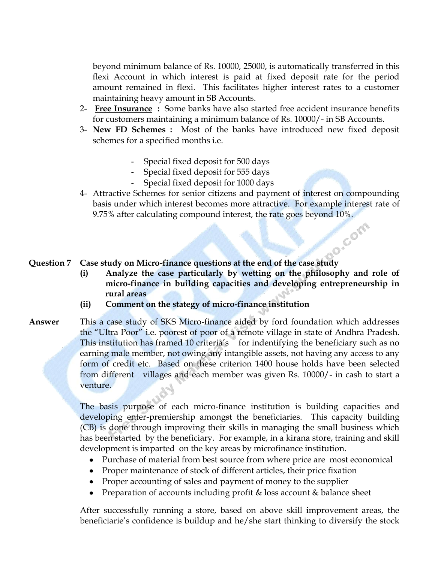beyond minimum balance of Rs. 10000, 25000, is automatically transferred in this flexi Account in which interest is paid at fixed deposit rate for the period amount remained in flexi. This facilitates higher interest rates to a customer maintaining heavy amount in SB Accounts.

- 2- **Free Insurance :** Some banks have also started free accident insurance benefits for customers maintaining a minimum balance of Rs. 10000/- in SB Accounts.
- 3- **New FD Schemes :** Most of the banks have introduced new fixed deposit schemes for a specified months i.e.
	- Special fixed deposit for 500 days
	- Special fixed deposit for 555 days
	- Special fixed deposit for 1000 days
- 4- Attractive Schemes for senior citizens and payment of interest on compounding basis under which interest becomes more attractive. For example interest rate of 9.75% after calculating compound interest, the rate goes beyond 10%.

# **DO** COM **Question 7 Case study on Micro-finance questions at the end of the case study**

- **(i) Analyze the case particularly by wetting on the philosophy and role of micro-finance in building capacities and developing entrepreneurship in rural areas**
- **(ii) Comment on the stategy of micro-finance institution**
- **Answer** This a case study of SKS Micro-finance aided by ford foundation which addresses the "Ultra Poor" i.e. poorest of poor of a remote village in state of Andhra Pradesh. This institution has framed 10 criteria's for indentifying the beneficiary such as no earning male member, not owing any intangible assets, not having any access to any form of credit etc. Based on these criterion 1400 house holds have been selected from different villages and each member was given Rs. 10000/- in cash to start a venture.

The basis purpose of each micro-finance institution is building capacities and developing enter-premiership amongst the beneficiaries. This capacity building (CB) is done through improving their skills in managing the small business which has been started by the beneficiary. For example, in a kirana store, training and skill development is imparted on the key areas by microfinance institution.

- Purchase of material from best source from where price are most economical
- Proper maintenance of stock of different articles, their price fixation
- Proper accounting of sales and payment of money to the supplier
- Preparation of accounts including profit & loss account & balance sheet

After successfully running a store, based on above skill improvement areas, the beneficiarie"s confidence is buildup and he/she start thinking to diversify the stock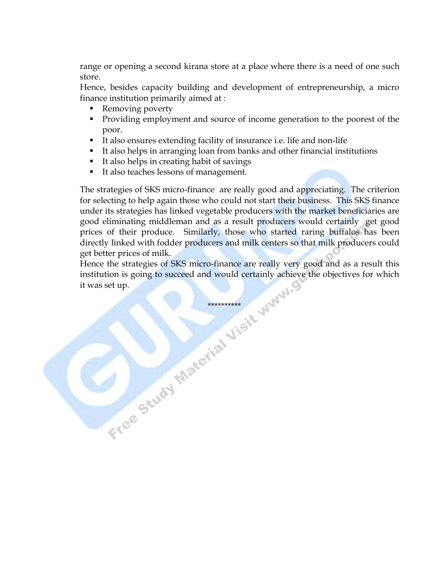range or opening a second kirana store at a place where there is a need of one such store.

Hence, besides capacity building and development of entrepreneurship, a micro finance institution primarily aimed at :

- Removing poverty
- **Providing employment and source of income generation to the poorest of the** poor.
- It also ensures extending facility of insurance i.e. life and non-life
- It also helps in arranging loan from banks and other financial institutions
- It also helps in creating habit of savings
- It also teaches lessons of management.

The strategies of SKS micro-finance are really good and appreciating. The criterion for selecting to help again those who could not start their business. This SKS finance under its strategies has linked vegetable producers with the market beneficiaries are good eliminating middleman and as a result producers would certainly get good prices of their produce. Similarly, those who started raring buffalos has been directly linked with fodder producers and milk centers so that milk producers could get better prices of milk.

Hence the strategies of SKS micro-finance are really very good and as a result this institution is going to succeed and would certainly achieve the objectives for which it was set up. Free Study Material Visit Wyww.g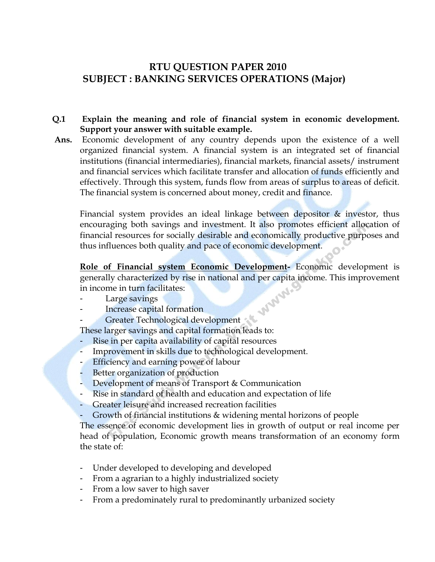### **RTU QUESTION PAPER 2010 SUBJECT : BANKING SERVICES OPERATIONS (Major)**

#### **Q.1 Explain the meaning and role of financial system in economic development. Support your answer with suitable example.**

**Ans.** Economic development of any country depends upon the existence of a well organized financial system. A financial system is an integrated set of financial institutions (financial intermediaries), financial markets, financial assets/ instrument and financial services which facilitate transfer and allocation of funds efficiently and effectively. Through this system, funds flow from areas of surplus to areas of deficit. The financial system is concerned about money, credit and finance.

Financial system provides an ideal linkage between depositor  $\&$  investor, thus encouraging both savings and investment. It also promotes efficient allocation of financial resources for socially desirable and economically productive purposes and thus influences both quality and pace of economic development.

**Role of Financial system Economic Development-** Economic development is generally characterized by rise in national and per capita income. This improvement<br>
in income in turn facilitates:<br>
- Large savings<br>
- Increase capital formation in income in turn facilitates:

- Large savings
- Increase capital formation
- Greater Technological development

These larger savings and capital formation leads to:

- Rise in per capita availability of capital resources
- Improvement in skills due to technological development.
- Efficiency and earning power of labour
- Better organization of production
- Development of means of Transport & Communication
- Rise in standard of health and education and expectation of life
- Greater leisure and increased recreation facilities
- Growth of financial institutions & widening mental horizons of people

The essence of economic development lies in growth of output or real income per head of population, Economic growth means transformation of an economy form the state of:

- Under developed to developing and developed
- From a agrarian to a highly industrialized society
- From a low saver to high saver
- From a predominately rural to predominantly urbanized society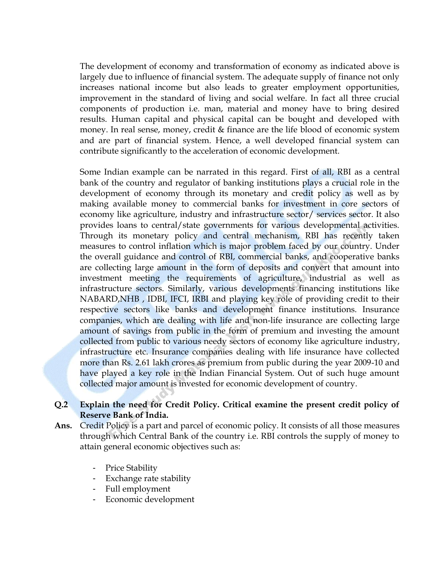The development of economy and transformation of economy as indicated above is largely due to influence of financial system. The adequate supply of finance not only increases national income but also leads to greater employment opportunities, improvement in the standard of living and social welfare. In fact all three crucial components of production i.e. man, material and money have to bring desired results. Human capital and physical capital can be bought and developed with money. In real sense, money, credit & finance are the life blood of economic system and are part of financial system. Hence, a well developed financial system can contribute significantly to the acceleration of economic development.

Some Indian example can be narrated in this regard. First of all, RBI as a central bank of the country and regulator of banking institutions plays a crucial role in the development of economy through its monetary and credit policy as well as by making available money to commercial banks for investment in core sectors of economy like agriculture, industry and infrastructure sector/ services sector. It also provides loans to central/state governments for various developmental activities. Through its monetary policy and central mechanism, RBI has recently taken measures to control inflation which is major problem faced by our country. Under the overall guidance and control of RBI, commercial banks, and cooperative banks are collecting large amount in the form of deposits and convert that amount into investment meeting the requirements of agriculture, industrial as well as infrastructure sectors. Similarly, various developments financing institutions like NABARD,NHB , IDBI, IFCI, IRBI and playing key role of providing credit to their respective sectors like banks and development finance institutions. Insurance companies, which are dealing with life and non-life insurance are collecting large amount of savings from public in the form of premium and investing the amount collected from public to various needy sectors of economy like agriculture industry, infrastructure etc. Insurance companies dealing with life insurance have collected more than Rs. 2.61 lakh crores as premium from public during the year 2009-10 and have played a key role in the Indian Financial System. Out of such huge amount collected major amount is invested for economic development of country.

#### **Q.2 Explain the need for Credit Policy. Critical examine the present credit policy of Reserve Bank of India.**

- **Ans.** Credit Policy is a part and parcel of economic policy. It consists of all those measures through which Central Bank of the country i.e. RBI controls the supply of money to attain general economic objectives such as:
	- Price Stability
	- Exchange rate stability
	- Full employment
	- Economic development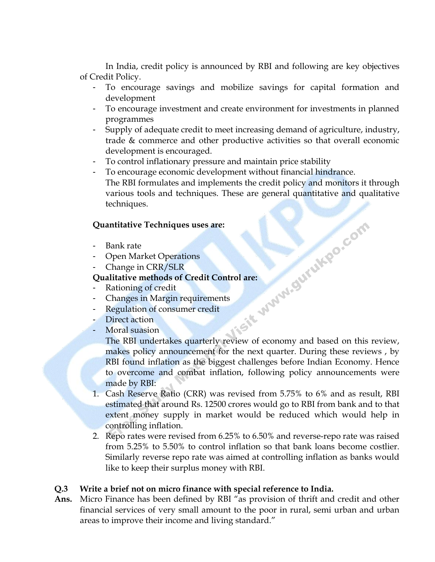In India, credit policy is announced by RBI and following are key objectives of Credit Policy.

- To encourage savings and mobilize savings for capital formation and development
- To encourage investment and create environment for investments in planned programmes
- Supply of adequate credit to meet increasing demand of agriculture, industry, trade & commerce and other productive activities so that overall economic development is encouraged.
- To control inflationary pressure and maintain price stability
- To encourage economic development without financial hindrance. The RBI formulates and implements the credit policy and monitors it through various tools and techniques. These are general quantitative and qualitative techniques.

#### **Quantitative Techniques uses are:**

- Bank rate
- Open Market Operations
- Change in CRR/SLR

- Rationing of credit
- Changes in Margin requirements
- Regulation of consumer credit
- Direct action
- Moral suasion

**CONT**<br>
Cualitative methods of Credit Control are:<br>
Pualitative methods of Credit Control are:<br>
- Rationing of credit<br>
- Changes in Margin requirements<br>
- Regulation of consumer credit<br>
- Direct action<br>
The Pr The RBI undertakes quarterly review of economy and based on this review, makes policy announcement for the next quarter. During these reviews , by RBI found inflation as the biggest challenges before Indian Economy. Hence to overcome and combat inflation, following policy announcements were made by RBI:

- 1. Cash Reserve Ratio (CRR) was revised from 5.75% to 6% and as result, RBI estimated that around Rs. 12500 crores would go to RBI from bank and to that extent money supply in market would be reduced which would help in controlling inflation.
- 2. Repo rates were revised from 6.25% to 6.50% and reverse-repo rate was raised from 5.25% to 5.50% to control inflation so that bank loans become costlier. Similarly reverse repo rate was aimed at controlling inflation as banks would like to keep their surplus money with RBI.

#### **Q.3 Write a brief not on micro finance with special reference to India.**

**Ans.** Micro Finance has been defined by RBI "as provision of thrift and credit and other financial services of very small amount to the poor in rural, semi urban and urban areas to improve their income and living standard."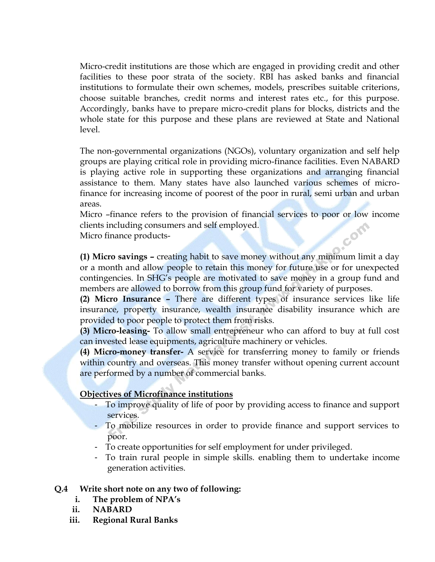Micro-credit institutions are those which are engaged in providing credit and other facilities to these poor strata of the society. RBI has asked banks and financial institutions to formulate their own schemes, models, prescribes suitable criterions, choose suitable branches, credit norms and interest rates etc., for this purpose. Accordingly, banks have to prepare micro-credit plans for blocks, districts and the whole state for this purpose and these plans are reviewed at State and National level.

The non-governmental organizations (NGOs), voluntary organization and self help groups are playing critical role in providing micro-finance facilities. Even NABARD is playing active role in supporting these organizations and arranging financial assistance to them. Many states have also launched various schemes of microfinance for increasing income of poorest of the poor in rural, semi urban and urban areas.

Micro –finance refers to the provision of financial services to poor or low income clients including consumers and self employed.

Micro finance products-

**(1) Micro savings –** creating habit to save money without any minimum limit a day or a month and allow people to retain this money for future use or for unexpected contingencies. In SHG"s people are motivated to save money in a group fund and members are allowed to borrow from this group fund for variety of purposes.

**(2) Micro Insurance –** There are different types of insurance services like life insurance, property insurance, wealth insurance disability insurance which are provided to poor people to protect them from risks.

**(3) Micro-leasing-** To allow small entrepreneur who can afford to buy at full cost can invested lease equipments, agriculture machinery or vehicles.

**(4) Micro-money transfer-** A service for transferring money to family or friends within country and overseas. This money transfer without opening current account are performed by a number of commercial banks.

#### **Objectives of Microfinance institutions**

- To improve quality of life of poor by providing access to finance and support services.
- To mobilize resources in order to provide finance and support services to poor.
- To create opportunities for self employment for under privileged.
- To train rural people in simple skills. enabling them to undertake income generation activities.

#### **Q.4 Write short note on any two of following:**

- **i. The problem of NPA"s**
- **ii. NABARD**
- **iii. Regional Rural Banks**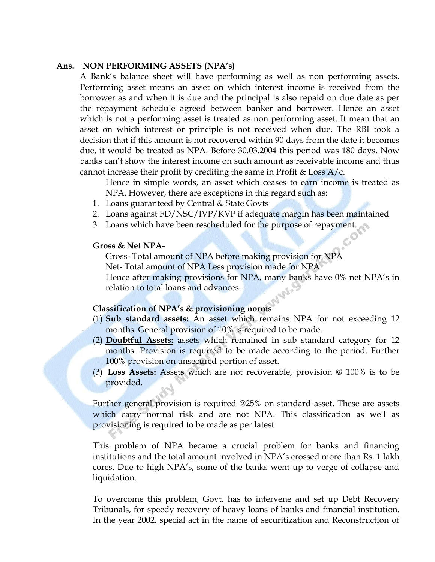#### **Ans. NON PERFORMING ASSETS (NPA"s)**

A Bank's balance sheet will have performing as well as non performing assets. Performing asset means an asset on which interest income is received from the borrower as and when it is due and the principal is also repaid on due date as per the repayment schedule agreed between banker and borrower. Hence an asset which is not a performing asset is treated as non performing asset. It mean that an asset on which interest or principle is not received when due. The RBI took a decision that if this amount is not recovered within 90 days from the date it becomes due, it would be treated as NPA. Before 30.03.2004 this period was 180 days. Now banks can't show the interest income on such amount as receivable income and thus cannot increase their profit by crediting the same in Profit & Loss  $A/c$ .

Hence in simple words, an asset which ceases to earn income is treated as NPA. However, there are exceptions in this regard such as:

- 1. Loans guaranteed by Central & State Govts
- 2. Loans against FD/NSC/IVP/KVP if adequate margin has been maintained
- 3. Loans which have been rescheduled for the purpose of repayment.

#### **Gross & Net NPA-**

Gross- Total amount of NPA before making provision for NPA Net- Total amount of NPA Less provision made for NPA Hence after making provisions for NPA, many banks have 0% net NPA's in relation to total loans and advances.

#### **Classification of NPA"s & provisioning norms**

- (1) **Sub standard assets:** An asset which remains NPA for not exceeding 12 months. General provision of 10% is required to be made.
- (2) **Doubtful Assets:** assets which remained in sub standard category for 12 months. Provision is required to be made according to the period. Further 100% provision on unsecured portion of asset.
- (3) **Loss Assets:** Assets which are not recoverable, provision @ 100% is to be provided.

Further general provision is required @25% on standard asset. These are assets which carry normal risk and are not NPA. This classification as well as provisioning is required to be made as per latest

This problem of NPA became a crucial problem for banks and financing institutions and the total amount involved in NPA"s crossed more than Rs. 1 lakh cores. Due to high NPA"s, some of the banks went up to verge of collapse and liquidation.

To overcome this problem, Govt. has to intervene and set up Debt Recovery Tribunals, for speedy recovery of heavy loans of banks and financial institution. In the year 2002, special act in the name of securitization and Reconstruction of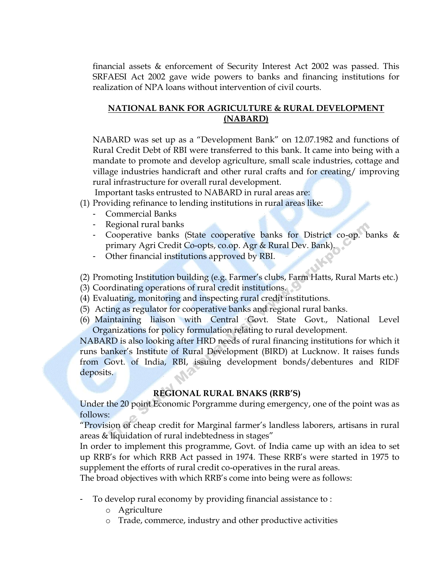financial assets & enforcement of Security Interest Act 2002 was passed. This SRFAESI Act 2002 gave wide powers to banks and financing institutions for realization of NPA loans without intervention of civil courts.

#### **NATIONAL BANK FOR AGRICULTURE & RURAL DEVELOPMENT (NABARD)**

NABARD was set up as a "Development Bank" on 12.07.1982 and functions of Rural Credit Debt of RBI were transferred to this bank. It came into being with a mandate to promote and develop agriculture, small scale industries, cottage and village industries handicraft and other rural crafts and for creating/ improving rural infrastructure for overall rural development.

Important tasks entrusted to NABARD in rural areas are:

- (1) Providing refinance to lending institutions in rural areas like:
	- Commercial Banks
	- Regional rural banks
	- Cooperative banks (State cooperative banks for District co-op. banks & primary Agri Credit Co-opts, co.op. Agr & Rural Dev. Bank).
	- Other financial institutions approved by RBI.

(2) Promoting Institution building (e.g. Farmer"s clubs, Farm Hatts, Rural Marts etc.)

- (3) Coordinating operations of rural credit institutions.
- (4) Evaluating, monitoring and inspecting rural credit institutions.
- (5) Acting as regulator for cooperative banks and regional rural banks.
- (6) Maintaining liaison with Central Govt. State Govt., National Level Organizations for policy formulation relating to rural development.

NABARD is also looking after HRD needs of rural financing institutions for which it runs banker"s Institute of Rural Development (BIRD) at Lucknow. It raises funds from Govt. of India, RBI, issuing development bonds/debentures and RIDF deposits.

#### **REGIONAL RURAL BNAKS (RRB"S)**

Under the 20 point Economic Porgramme during emergency, one of the point was as follows:

"Provision of cheap credit for Marginal farmer"s landless laborers, artisans in rural areas & liquidation of rural indebtedness in stages"

In order to implement this programme, Govt. of India came up with an idea to set up RRB"s for which RRB Act passed in 1974. These RRB"s were started in 1975 to supplement the efforts of rural credit co-operatives in the rural areas.

The broad objectives with which RRB"s come into being were as follows:

- To develop rural economy by providing financial assistance to :
	- o Agriculture
	- o Trade, commerce, industry and other productive activities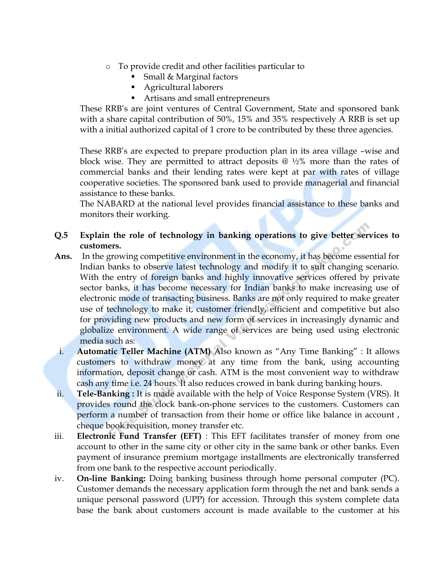- o To provide credit and other facilities particular to
	- Small & Marginal factors
	- Agricultural laborers
	- Artisans and small entrepreneurs

These RRB"s are joint ventures of Central Government, State and sponsored bank with a share capital contribution of 50%, 15% and 35% respectively A RRB is set up with a initial authorized capital of 1 crore to be contributed by these three agencies.

These RRB's are expected to prepare production plan in its area village -wise and block wise. They are permitted to attract deposits  $\omega$  1/2% more than the rates of commercial banks and their lending rates were kept at par with rates of village cooperative societies. The sponsored bank used to provide managerial and financial assistance to these banks.

The NABARD at the national level provides financial assistance to these banks and monitors their working.

- **Q.5 Explain the role of technology in banking operations to give better services to customers.**
- **Ans.** In the growing competitive environment in the economy, it has become essential for Indian banks to observe latest technology and modify it to suit changing scenario. With the entry of foreign banks and highly innovative services offered by private sector banks, it has become necessary for Indian banks to make increasing use of electronic mode of transacting business. Banks are not only required to make greater use of technology to make it, customer friendly, efficient and competitive but also for providing new products and new form of services in increasingly dynamic and globalize environment. A wide range of services are being used using electronic media such as:
- i. **Automatic Teller Machine (ATM)** Also known as "Any Time Banking" : It allows customers to withdraw money at any time from the bank, using accounting information, deposit change or cash. ATM is the most convenient way to withdraw cash any time i.e. 24 hours. It also reduces crowed in bank during banking hours.
- ii. **Tele-Banking :** It is made available with the help of Voice Response System (VRS). It provides round the clock bank-on-phone services to the customers. Customers can perform a number of transaction from their home or office like balance in account , cheque book requisition, money transfer etc.
- iii. **Electronic Fund Transfer (EFT)** : This EFT facilitates transfer of money from one account to other in the same city or other city in the same bank or other banks. Even payment of insurance premium mortgage installments are electronically transferred from one bank to the respective account periodically.
- iv. **On-line Banking:** Doing banking business through home personal computer (PC). Customer demands the necessary application form through the net and bank sends a unique personal password (UPP) for accession. Through this system complete data base the bank about customers account is made available to the customer at his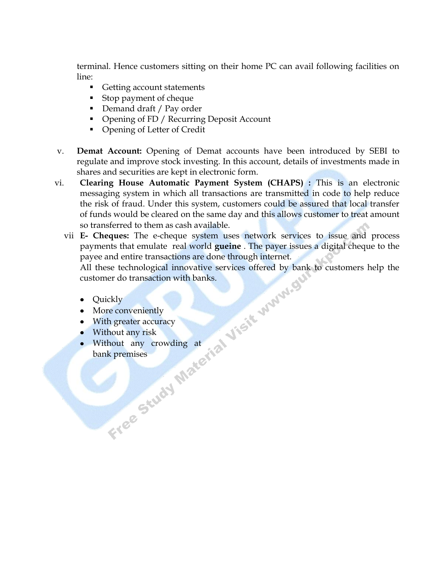terminal. Hence customers sitting on their home PC can avail following facilities on line:

- Getting account statements
- Stop payment of cheque
- Demand draft / Pay order
- **Opening of FD / Recurring Deposit Account**
- Opening of Letter of Credit
- v. **Demat Account:** Opening of Demat accounts have been introduced by SEBI to regulate and improve stock investing. In this account, details of investments made in shares and securities are kept in electronic form.
- vi. **Clearing House Automatic Payment System (CHAPS) :** This is an electronic messaging system in which all transactions are transmitted in code to help reduce the risk of fraud. Under this system, customers could be assured that local transfer of funds would be cleared on the same day and this allows customer to treat amount so transferred to them as cash available.
	- vii **E- Cheques:** The e-cheque system uses network services to issue and process payments that emulate real world **gueine** . The payer issues a digital cheque to the payee and entire transactions are done through internet.

All these technological innovative services offered by bank to customers help the customer do transaction with banks.

- Quickly
- More conveniently
- With greater accuracy
- Without any risk
- Without any crowding at bank premises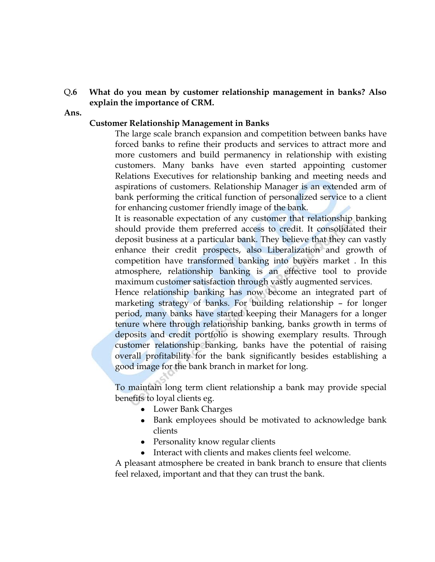#### Q**.6 What do you mean by customer relationship management in banks? Also explain the importance of CRM.**

#### **Ans.**

#### **Customer Relationship Management in Banks**

The large scale branch expansion and competition between banks have forced banks to refine their products and services to attract more and more customers and build permanency in relationship with existing customers. Many banks have even started appointing customer Relations Executives for relationship banking and meeting needs and aspirations of customers. Relationship Manager is an extended arm of bank performing the critical function of personalized service to a client for enhancing customer friendly image of the bank.

It is reasonable expectation of any customer that relationship banking should provide them preferred access to credit. It consolidated their deposit business at a particular bank. They believe that they can vastly enhance their credit prospects, also Liberalization and growth of competition have transformed banking into buyers market . In this atmosphere, relationship banking is an effective tool to provide maximum customer satisfaction through vastly augmented services.

Hence relationship banking has now become an integrated part of marketing strategy of banks. For building relationship – for longer period, many banks have started keeping their Managers for a longer tenure where through relationship banking, banks growth in terms of deposits and credit portfolio is showing exemplary results. Through customer relationship banking, banks have the potential of raising overall profitability for the bank significantly besides establishing a good image for the bank branch in market for long.

To maintain long term client relationship a bank may provide special benefits to loyal clients eg.

- Lower Bank Charges
- Bank employees should be motivated to acknowledge bank clients
- Personality know regular clients
- Interact with clients and makes clients feel welcome.  $\bullet$

A pleasant atmosphere be created in bank branch to ensure that clients feel relaxed, important and that they can trust the bank.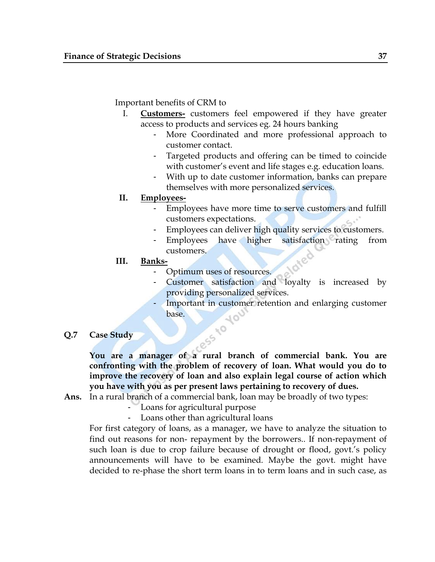Important benefits of CRM to

- I. **Customers-** customers feel empowered if they have greater access to products and services eg. 24 hours banking
	- More Coordinated and more professional approach to customer contact.
	- Targeted products and offering can be timed to coincide with customer's event and life stages e.g. education loans.
	- With up to date customer information, banks can prepare themselves with more personalized services.
- **II. Employees-**
	- Employees have more time to serve customers and fulfill customers expectations.
	- Employees can deliver high quality services to customers.
	- Employees have higher satisfaction rating from customers.
- **III. Banks-**
	- Optimum uses of resources.
	- Customer satisfaction and loyalty is increased by providing personalized services.
	- Important in customer retention and enlarging customer base.
- **Q.7 Case Study**

**You are a manager of a rural branch of commercial bank. You are confronting with the problem of recovery of loan. What would you do to improve the recovery of loan and also explain legal course of action which you have with you as per present laws pertaining to recovery of dues.** 

- **Ans.** In a rural branch of a commercial bank, loan may be broadly of two types:
	- Loans for agricultural purpose
	- Loans other than agricultural loans

For first category of loans, as a manager, we have to analyze the situation to find out reasons for non- repayment by the borrowers.. If non-repayment of such loan is due to crop failure because of drought or flood, govt.'s policy announcements will have to be examined. Maybe the govt. might have decided to re-phase the short term loans in to term loans and in such case, as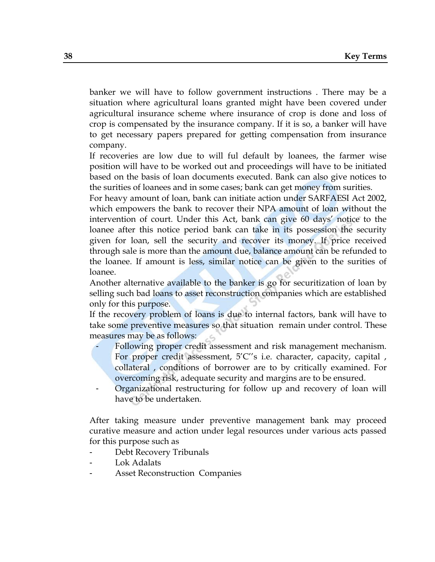banker we will have to follow government instructions . There may be a situation where agricultural loans granted might have been covered under agricultural insurance scheme where insurance of crop is done and loss of crop is compensated by the insurance company. If it is so, a banker will have to get necessary papers prepared for getting compensation from insurance company.

If recoveries are low due to will ful default by loanees, the farmer wise position will have to be worked out and proceedings will have to be initiated based on the basis of loan documents executed. Bank can also give notices to the surities of loanees and in some cases; bank can get money from surities.

For heavy amount of loan, bank can initiate action under SARFAESI Act 2002, which empowers the bank to recover their NPA amount of loan without the intervention of court. Under this Act, bank can give 60 days" notice to the loanee after this notice period bank can take in its possession the security given for loan, sell the security and recover its money. If price received through sale is more than the amount due, balance amount can be refunded to the loanee. If amount is less, similar notice can be given to the surities of loanee.

Another alternative available to the banker is go for securitization of loan by selling such bad loans to asset reconstruction companies which are established only for this purpose.

If the recovery problem of loans is due to internal factors, bank will have to take some preventive measures so that situation remain under control. These measures may be as follows:

- Following proper credit assessment and risk management mechanism. For proper credit assessment, 5'C"s i.e. character, capacity, capital, collateral , conditions of borrower are to by critically examined. For overcoming risk, adequate security and margins are to be ensured.
- Organizational restructuring for follow up and recovery of loan will have to be undertaken.

After taking measure under preventive management bank may proceed curative measure and action under legal resources under various acts passed for this purpose such as

- Debt Recovery Tribunals
- Lok Adalats
- Asset Reconstruction Companies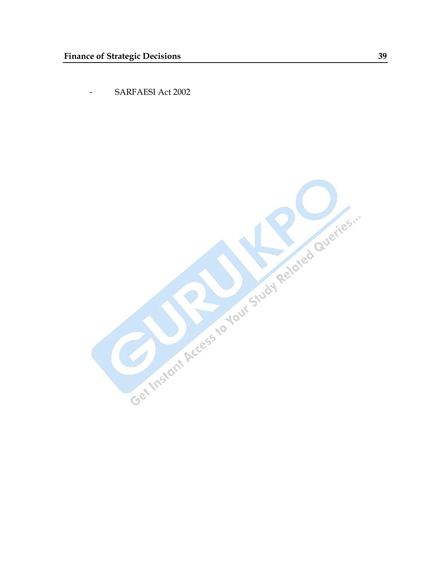- SARFAESI Act 2002

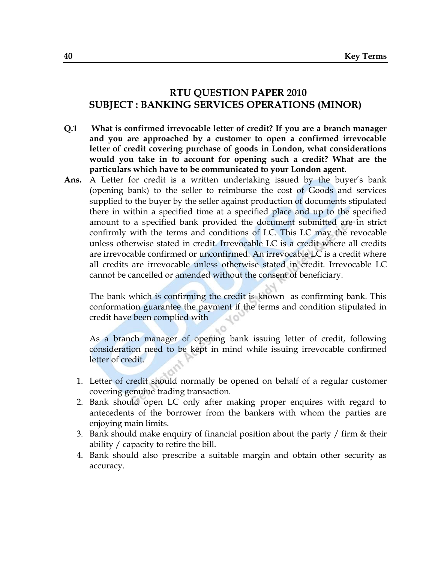# **RTU QUESTION PAPER 2010 SUBJECT : BANKING SERVICES OPERATIONS (MINOR)**

- **Q.1 What is confirmed irrevocable letter of credit? If you are a branch manager and you are approached by a customer to open a confirmed irrevocable letter of credit covering purchase of goods in London, what considerations would you take in to account for opening such a credit? What are the particulars which have to be communicated to your London agent.**
- Ans. A Letter for credit is a written undertaking issued by the buyer's bank (opening bank) to the seller to reimburse the cost of Goods and services supplied to the buyer by the seller against production of documents stipulated there in within a specified time at a specified place and up to the specified amount to a specified bank provided the document submitted are in strict confirmly with the terms and conditions of LC. This LC may the revocable unless otherwise stated in credit. Irrevocable LC is a credit where all credits are irrevocable confirmed or unconfirmed. An irrevocable LC is a credit where all credits are irrevocable unless otherwise stated in credit. Irrevocable LC cannot be cancelled or amended without the consent of beneficiary.

The bank which is confirming the credit is known as confirming bank. This conformation guarantee the payment if the terms and condition stipulated in credit have been complied with

As a branch manager of opening bank issuing letter of credit, following consideration need to be kept in mind while issuing irrevocable confirmed letter of credit.

. O

- 1. Letter of credit should normally be opened on behalf of a regular customer covering genuine trading transaction.
- 2. Bank should open LC only after making proper enquires with regard to antecedents of the borrower from the bankers with whom the parties are enjoying main limits.
- 3. Bank should make enquiry of financial position about the party / firm & their ability / capacity to retire the bill.
- 4. Bank should also prescribe a suitable margin and obtain other security as accuracy.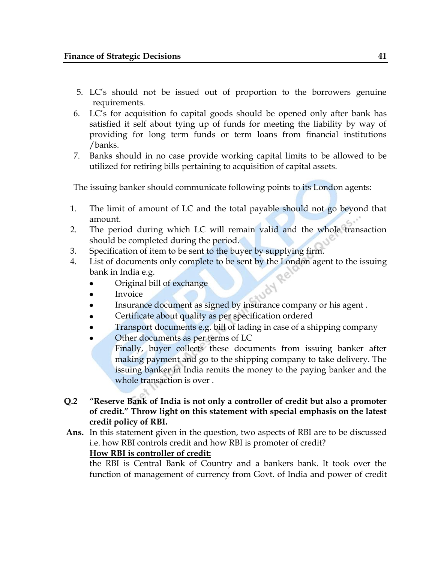- 5. LC"s should not be issued out of proportion to the borrowers genuine requirements.
- 6. LC"s for acquisition fo capital goods should be opened only after bank has satisfied it self about tying up of funds for meeting the liability by way of providing for long term funds or term loans from financial institutions /banks.
- 7. Banks should in no case provide working capital limits to be allowed to be utilized for retiring bills pertaining to acquisition of capital assets.

The issuing banker should communicate following points to its London agents:

- 1. The limit of amount of LC and the total payable should not go beyond that amount.
- 2. The period during which LC will remain valid and the whole transaction should be completed during the period.
- 3. Specification of item to be sent to the buyer by supplying firm.
- 4. List of documents only complete to be sent by the London agent to the issuing bank in India e.g.<br>
 Original bill of exchange<br>
 Invoice bank in India e.g.
	- Original bill of exchange
	- Invoice
	- Insurance document as signed by insurance company or his agent .
	- Certificate about quality as per specification ordered
	- Transport documents e.g. bill of lading in case of a shipping company
	- Other documents as per terms of LC
	- Finally, buyer collects these documents from issuing banker after making payment and go to the shipping company to take delivery. The issuing banker in India remits the money to the paying banker and the whole transaction is over .
- **Q.2 "Reserve Bank of India is not only a controller of credit but also a promoter of credit." Throw light on this statement with special emphasis on the latest credit policy of RBI.**
- **Ans.** In this statement given in the question, two aspects of RBI are to be discussed i.e. how RBI controls credit and how RBI is promoter of credit? **How RBI is controller of credit:**

the RBI is Central Bank of Country and a bankers bank. It took over the function of management of currency from Govt. of India and power of credit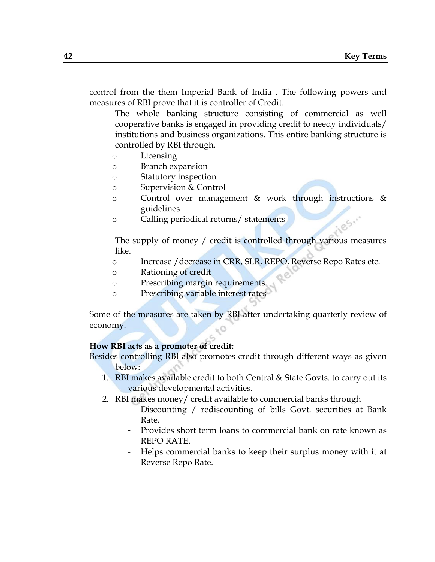control from the them Imperial Bank of India . The following powers and measures of RBI prove that it is controller of Credit.

- The whole banking structure consisting of commercial as well cooperative banks is engaged in providing credit to needy individuals/ institutions and business organizations. This entire banking structure is controlled by RBI through.
	- o Licensing
	- o Branch expansion
	- o Statutory inspection
	- o Supervision & Control
	- o Control over management & work through instructions & guidelines
	- o Calling periodical returns/ statements
- The supply of money / credit is controlled through various measures like.
	- o Increase /decrease in CRR, SLR, REPO, Reverse Repo Rates etc.
	- o Rationing of credit
	- o Prescribing margin requirements
	- o Prescribing variable interest rates

Some of the measures are taken by RBI after undertaking quarterly review of economy.

## **How RBI acts as a promoter of credit:**

Besides controlling RBI also promotes credit through different ways as given below:

- 1. RBI makes available credit to both Central & State Govts. to carry out its various developmental activities.
- 2. RBI makes money/ credit available to commercial banks through
	- Discounting / rediscounting of bills Govt. securities at Bank Rate.
	- Provides short term loans to commercial bank on rate known as REPO RATE.
	- Helps commercial banks to keep their surplus money with it at Reverse Repo Rate.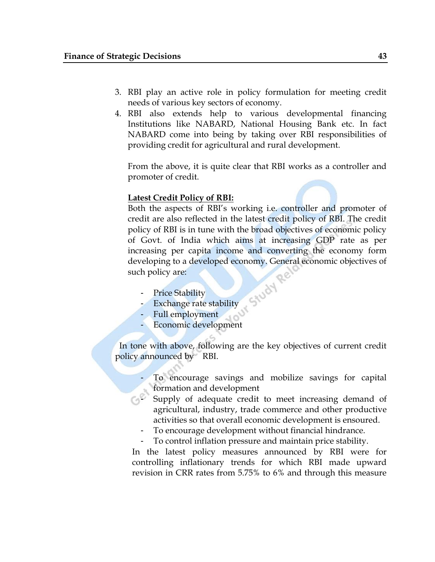- 3. RBI play an active role in policy formulation for meeting credit needs of various key sectors of economy.
- 4. RBI also extends help to various developmental financing Institutions like NABARD, National Housing Bank etc. In fact NABARD come into being by taking over RBI responsibilities of providing credit for agricultural and rural development.

From the above, it is quite clear that RBI works as a controller and promoter of credit.

### **Latest Credit Policy of RBI:**

Both the aspects of RBI"s working i.e. controller and promoter of credit are also reflected in the latest credit policy of RBI. The credit policy of RBI is in tune with the broad objectives of economic policy of Govt. of India which aims at increasing GDP rate as per increasing per capita income and converting the economy form developing to a developed economy. General economic objectives of<br>such policy are:<br>- Price Stability<br>- Exchange rate: such policy are:

- Price Stability
- Exchange rate stability
- Full employment
- Economic development

 In tone with above, following are the key objectives of current credit policy announced by RBI.

- To encourage savings and mobilize savings for capital formation and development
- GP<sup>P</sup> Supply of adequate credit to meet increasing demand of agricultural, industry, trade commerce and other productive activities so that overall economic development is ensoured.
	- To encourage development without financial hindrance.
	- To control inflation pressure and maintain price stability.

In the latest policy measures announced by RBI were for controlling inflationary trends for which RBI made upward revision in CRR rates from 5.75% to 6% and through this measure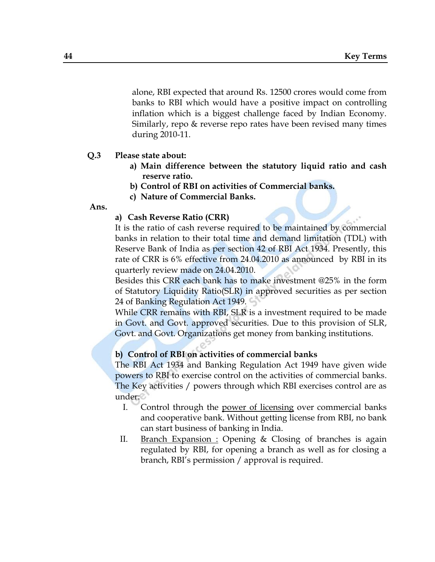alone, RBI expected that around Rs. 12500 crores would come from banks to RBI which would have a positive impact on controlling inflation which is a biggest challenge faced by Indian Economy. Similarly, repo & reverse repo rates have been revised many times during 2010-11.

## **Q.3 Please state about:**

- **a) Main difference between the statutory liquid ratio and cash reserve ratio.**
- **b) Control of RBI on activities of Commercial banks.**
- **c) Nature of Commercial Banks.**

**Ans.**

#### **a) Cash Reverse Ratio (CRR)**

It is the ratio of cash reverse required to be maintained by commercial banks in relation to their total time and demand limitation (TDL) with Reserve Bank of India as per section 42 of RBI Act 1934. Presently, this rate of CRR is 6% effective from 24.04.2010 as announced by RBI in its quarterly review made on 24.04.2010.

Besides this CRR each bank has to make investment @25% in the form of Statutory Liquidity Ratio(SLR) in approved securities as per section 24 of Banking Regulation Act 1949.

While CRR remains with RBI, SLR is a investment required to be made in Govt. and Govt. approved securities. Due to this provision of SLR, Govt. and Govt. Organizations get money from banking institutions.

#### **b) Control of RBI on activities of commercial banks**

The RBI Act 1934 and Banking Regulation Act 1949 have given wide powers to RBI to exercise control on the activities of commercial banks. The Key activities / powers through which RBI exercises control are as under:

- I. Control through the power of licensing over commercial banks and cooperative bank. Without getting license from RBI, no bank can start business of banking in India.
- II. Branch Expansion : Opening & Closing of branches is again regulated by RBI, for opening a branch as well as for closing a branch, RBI"s permission / approval is required.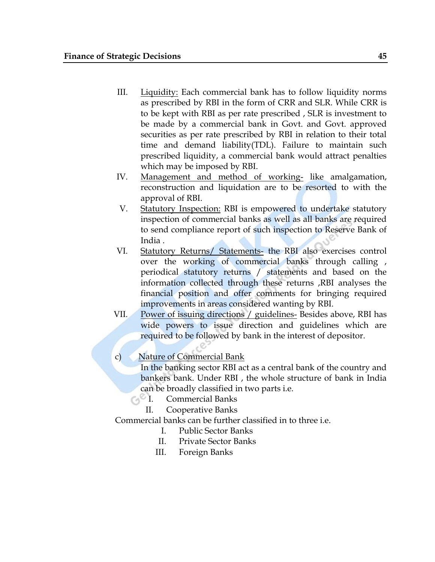- III. Liquidity: Each commercial bank has to follow liquidity norms as prescribed by RBI in the form of CRR and SLR. While CRR is to be kept with RBI as per rate prescribed , SLR is investment to be made by a commercial bank in Govt. and Govt. approved securities as per rate prescribed by RBI in relation to their total time and demand liability(TDL). Failure to maintain such prescribed liquidity, a commercial bank would attract penalties which may be imposed by RBI.
- IV. Management and method of working- like amalgamation, reconstruction and liquidation are to be resorted to with the approval of RBI.
- V. Statutory Inspection: RBI is empowered to undertake statutory inspection of commercial banks as well as all banks are required to send compliance report of such inspection to Reserve Bank of India .
- VI. Statutory Returns/ Statements- the RBI also exercises control over the working of commercial banks through calling , periodical statutory returns / statements and based on the information collected through these returns ,RBI analyses the financial position and offer comments for bringing required improvements in areas considered wanting by RBI.
- VII. Power of issuing directions / guidelines- Besides above, RBI has wide powers to issue direction and guidelines which are required to be followed by bank in the interest of depositor.

# c) Nature of Commercial Bank

In the banking sector RBI act as a central bank of the country and bankers bank. Under RBI , the whole structure of bank in India can be broadly classified in two parts i.e.

- **Commercial Banks** 
	- II. Cooperative Banks

Commercial banks can be further classified in to three i.e.

- I. Public Sector Banks
- II. Private Sector Banks
- III. Foreign Banks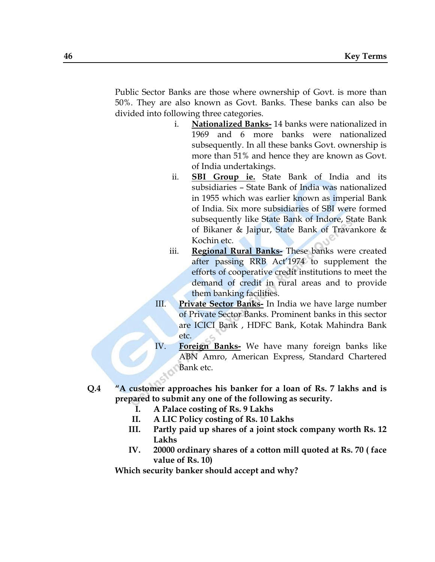Public Sector Banks are those where ownership of Govt. is more than 50%. They are also known as Govt. Banks. These banks can also be divided into following three categories.

- i. **Nationalized Banks-** 14 banks were nationalized in 1969 and 6 more banks were nationalized subsequently. In all these banks Govt. ownership is more than 51% and hence they are known as Govt. of India undertakings.
- ii. **SBI Group ie.** State Bank of India and its subsidiaries – State Bank of India was nationalized in 1955 which was earlier known as imperial Bank of India. Six more subsidiaries of SBI were formed subsequently like State Bank of Indore, State Bank of Bikaner & Jaipur, State Bank of Travankore & Kochin etc.
- iii. **Regional Rural Banks-** These banks were created after passing RRB Act'1974 to supplement the efforts of cooperative credit institutions to meet the demand of credit in rural areas and to provide them banking facilities.
- III. **Private Sector Banks-** In India we have large number of Private Sector Banks. Prominent banks in this sector are ICICI Bank , HDFC Bank, Kotak Mahindra Bank etc.
- IV. **Foreign Banks-** We have many foreign banks like ABN Amro, American Express, Standard Chartered Bank etc.
- **Q.4 "A customer approaches his banker for a loan of Rs. 7 lakhs and is prepared to submit any one of the following as security.**
	- **I. A Palace costing of Rs. 9 Lakhs**
	- **II. A LIC Policy costing of Rs. 10 Lakhs**
	- **III. Partly paid up shares of a joint stock company worth Rs. 12 Lakhs**
	- **IV. 20000 ordinary shares of a cotton mill quoted at Rs. 70 ( face value of Rs. 10)**

**Which security banker should accept and why?**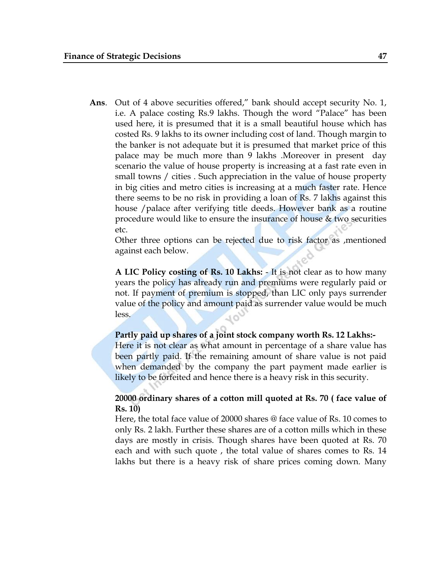**Ans**. Out of 4 above securities offered," bank should accept security No. 1, i.e. A palace costing Rs.9 lakhs. Though the word "Palace" has been used here, it is presumed that it is a small beautiful house which has costed Rs. 9 lakhs to its owner including cost of land. Though margin to the banker is not adequate but it is presumed that market price of this palace may be much more than 9 lakhs .Moreover in present day scenario the value of house property is increasing at a fast rate even in small towns / cities . Such appreciation in the value of house property in big cities and metro cities is increasing at a much faster rate. Hence there seems to be no risk in providing a loan of Rs. 7 lakhs against this house /palace after verifying title deeds. However bank as a routine procedure would like to ensure the insurance of house & two securities etc.

Other three options can be rejected due to risk factor as ,mentioned against each below.

**A LIC Policy costing of Rs. 10 Lakhs:** - It is not clear as to how many years the policy has already run and premiums were regularly paid or not. If payment of premium is stopped, than LIC only pays surrender value of the policy and amount paid as surrender value would be much less.

## **Partly paid up shares of a joint stock company worth Rs. 12 Lakhs:-**

Here it is not clear as what amount in percentage of a share value has been partly paid. If the remaining amount of share value is not paid when demanded by the company the part payment made earlier is likely to be forfeited and hence there is a heavy risk in this security.

## **20000 ordinary shares of a cotton mill quoted at Rs. 70 ( face value of Rs. 10)**

Here, the total face value of 20000 shares @ face value of Rs. 10 comes to only Rs. 2 lakh. Further these shares are of a cotton mills which in these days are mostly in crisis. Though shares have been quoted at Rs. 70 each and with such quote , the total value of shares comes to Rs. 14 lakhs but there is a heavy risk of share prices coming down. Many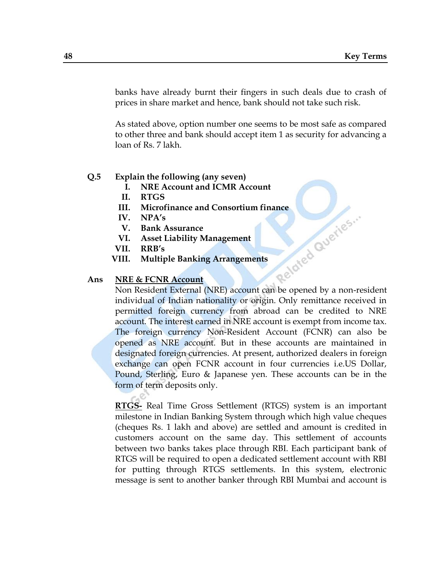banks have already burnt their fingers in such deals due to crash of prices in share market and hence, bank should not take such risk.

As stated above, option number one seems to be most safe as compared to other three and bank should accept item 1 as security for advancing a loan of Rs. 7 lakh.

### **Q.5 Explain the following (any seven)**

- **I. NRE Account and ICMR Account**
- **II. RTGS**
- 
- **IV. NPA"s**
- **V. Bank Assurance**
- **VI. Asset Liability Management**
- **VII. RRB"s**
- **VIII. Multiple Banking Arrangements**

#### **Ans NRE & FCNR Account**

**III.** Microfinance and Consortium finance<br>
IV. NPA's<br>
V. Bank Assurance<br>
VI. Asset Liability Management<br>
VII. RRB's<br>
III. Multiple Banking Arrance<br>
NRE & FCNP<br>
Nor Non Resident External (NRE) account can be opened by a non-resident individual of Indian nationality or origin. Only remittance received in permitted foreign currency from abroad can be credited to NRE account. The interest earned in NRE account is exempt from income tax. The foreign currency Non-Resident Account (FCNR) can also be opened as NRE account. But in these accounts are maintained in designated foreign currencies. At present, authorized dealers in foreign exchange can open FCNR account in four currencies i.e.US Dollar, Pound, Sterling, Euro & Japanese yen. These accounts can be in the form of term deposits only.

**RTGS-** Real Time Gross Settlement (RTGS) system is an important milestone in Indian Banking System through which high value cheques (cheques Rs. 1 lakh and above) are settled and amount is credited in customers account on the same day. This settlement of accounts between two banks takes place through RBI. Each participant bank of RTGS will be required to open a dedicated settlement account with RBI for putting through RTGS settlements. In this system, electronic message is sent to another banker through RBI Mumbai and account is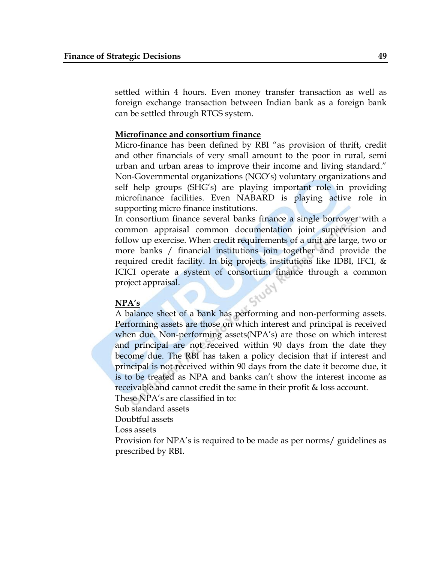settled within 4 hours. Even money transfer transaction as well as foreign exchange transaction between Indian bank as a foreign bank can be settled through RTGS system.

#### **Microfinance and consortium finance**

Micro-finance has been defined by RBI "as provision of thrift, credit and other financials of very small amount to the poor in rural, semi urban and urban areas to improve their income and living standard." Non-Governmental organizations (NGO"s) voluntary organizations and self help groups (SHG"s) are playing important role in providing microfinance facilities. Even NABARD is playing active role in supporting micro finance institutions.

In consortium finance several banks finance a single borrower with a common appraisal common documentation joint supervision and follow up exercise. When credit requirements of a unit are large, two or more banks / financial institutions join together and provide the required credit facility. In big projects institutions like IDBI, IFCI, & ICICI operate a system of consortium finance through a common project appraisal.

#### **NPA"s**

A balance sheet of a bank has performing and non-performing assets. Performing assets are those on which interest and principal is received when due. Non-performing assets (NPA's) are those on which interest and principal are not received within 90 days from the date they become due. The RBI has taken a policy decision that if interest and principal is not received within 90 days from the date it become due, it is to be treated as NPA and banks can't show the interest income as receivable and cannot credit the same in their profit & loss account.

These NPA's are classified in to:

Sub standard assets

Doubtful assets

Loss assets

Provision for NPA"s is required to be made as per norms/ guidelines as prescribed by RBI.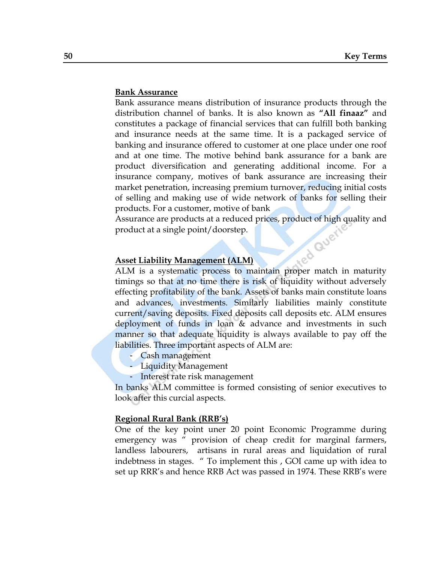#### **Bank Assurance**

Bank assurance means distribution of insurance products through the distribution channel of banks. It is also known as **"All finaaz"** and constitutes a package of financial services that can fulfill both banking and insurance needs at the same time. It is a packaged service of banking and insurance offered to customer at one place under one roof and at one time. The motive behind bank assurance for a bank are product diversification and generating additional income. For a insurance company, motives of bank assurance are increasing their market penetration, increasing premium turnover, reducing initial costs of selling and making use of wide network of banks for selling their products. For a customer, motive of bank

Assurance are products at a reduced prices, product of high quality and<br>product at a single point/doorstep.<br>Asset Liability Management product at a single point/doorstep.

#### **Asset Liability Management (ALM)**

ALM is a systematic process to maintain proper match in maturity timings so that at no time there is risk of liquidity without adversely effecting profitability of the bank. Assets of banks main constitute loans and advances, investments. Similarly liabilities mainly constitute current/saving deposits. Fixed deposits call deposits etc. ALM ensures deployment of funds in loan & advance and investments in such manner so that adequate liquidity is always available to pay off the liabilities. Three important aspects of ALM are:

- Cash management
- Liquidity Management
- Interest rate risk management

In banks ALM committee is formed consisting of senior executives to look after this curcial aspects.

#### **Regional Rural Bank (RRB"s)**

One of the key point uner 20 point Economic Programme during emergency was " provision of cheap credit for marginal farmers, landless labourers, artisans in rural areas and liquidation of rural indebtness in stages. " To implement this , GOI came up with idea to set up RRR"s and hence RRB Act was passed in 1974. These RRB"s were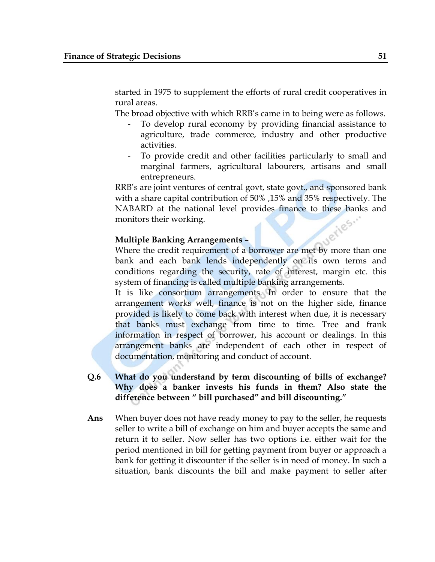started in 1975 to supplement the efforts of rural credit cooperatives in rural areas.

The broad objective with which RRB"s came in to being were as follows.

- To develop rural economy by providing financial assistance to agriculture, trade commerce, industry and other productive activities.
- To provide credit and other facilities particularly to small and marginal farmers, agricultural labourers, artisans and small entrepreneurs.

RRB"s are joint ventures of central govt, state govt., and sponsored bank with a share capital contribution of 50% ,15% and 35% respectively. The NABARD at the national level provides finance to these banks and monitors their working.<br>Multiple Banking Arrows: monitors their working.

## **Multiple Banking Arrangements –**

Where the credit requirement of a borrower are met by more than one bank and each bank lends independently on its own terms and conditions regarding the security, rate of interest, margin etc. this system of financing is called multiple banking arrangements.

It is like consortium arrangements. In order to ensure that the arrangement works well, finance is not on the higher side, finance provided is likely to come back with interest when due, it is necessary that banks must exchange from time to time. Tree and frank information in respect of borrower, his account or dealings. In this arrangement banks are independent of each other in respect of documentation, monitoring and conduct of account.

# **Q.6 What do you understand by term discounting of bills of exchange? Why does a banker invests his funds in them? Also state the difference between " bill purchased" and bill discounting."**

**Ans** When buyer does not have ready money to pay to the seller, he requests seller to write a bill of exchange on him and buyer accepts the same and return it to seller. Now seller has two options i.e. either wait for the period mentioned in bill for getting payment from buyer or approach a bank for getting it discounter if the seller is in need of money. In such a situation, bank discounts the bill and make payment to seller after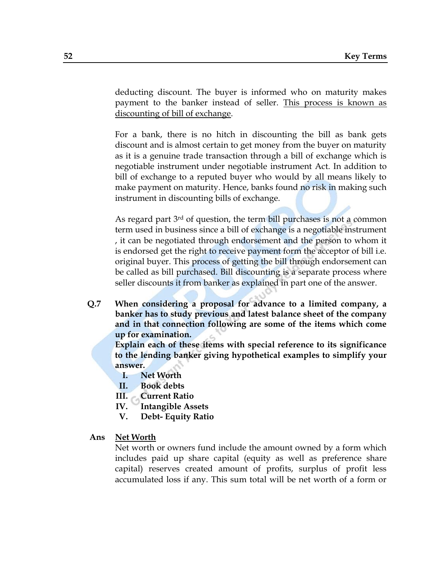deducting discount. The buyer is informed who on maturity makes payment to the banker instead of seller. This process is known as discounting of bill of exchange.

For a bank, there is no hitch in discounting the bill as bank gets discount and is almost certain to get money from the buyer on maturity as it is a genuine trade transaction through a bill of exchange which is negotiable instrument under negotiable instrument Act. In addition to bill of exchange to a reputed buyer who would by all means likely to make payment on maturity. Hence, banks found no risk in making such instrument in discounting bills of exchange.

As regard part 3<sup>rd</sup> of question, the term bill purchases is not a common term used in business since a bill of exchange is a negotiable instrument , it can be negotiated through endorsement and the person to whom it is endorsed get the right to receive payment form the acceptor of bill i.e. original buyer. This process of getting the bill through endorsement can be called as bill purchased. Bill discounting is a separate process where seller discounts it from banker as explained in part one of the answer.

**Q.7 When considering a proposal for advance to a limited company, a banker has to study previous and latest balance sheet of the company and in that connection following are some of the items which come up for examination.**

**Explain each of these items with special reference to its significance to the lending banker giving hypothetical examples to simplify your answer.** 

- **I. Net Worth**
- **II. Book debts**
- **III. Current Ratio**
- **IV. Intangible Assets**
- **V. Debt- Equity Ratio**

#### **Ans Net Worth**

Net worth or owners fund include the amount owned by a form which includes paid up share capital (equity as well as preference share capital) reserves created amount of profits, surplus of profit less accumulated loss if any. This sum total will be net worth of a form or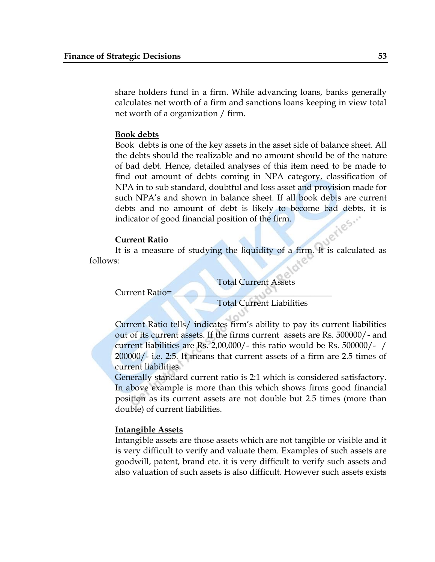share holders fund in a firm. While advancing loans, banks generally calculates net worth of a firm and sanctions loans keeping in view total net worth of a organization / firm.

### **Book debts**

Book debts is one of the key assets in the asset side of balance sheet. All the debts should the realizable and no amount should be of the nature of bad debt. Hence, detailed analyses of this item need to be made to find out amount of debts coming in NPA category, classification of NPA in to sub standard, doubtful and loss asset and provision made for such NPA's and shown in balance sheet. If all book debts are current debts and no amount of debt is likely to become bad debts, it is indicator of good financial position of the firm.<br>Current Ratio indicator of good financial position of the firm.

### **Current Ratio**

It is a measure of studying the liquidity of a firm. It is calculated as follows:

Total Current Assets

Current Ratio=

Total Current Liabilities

Current Ratio tells/ indicates firm"s ability to pay its current liabilities out of its current assets. If the firms current assets are Rs. 500000/- and current liabilities are Rs. 2,00,000/- this ratio would be Rs. 500000/- / 200000/- i.e. 2:5. It means that current assets of a firm are 2.5 times of current liabilities.

Generally standard current ratio is 2:1 which is considered satisfactory. In above example is more than this which shows firms good financial position as its current assets are not double but 2.5 times (more than double) of current liabilities.

#### **Intangible Assets**

Intangible assets are those assets which are not tangible or visible and it is very difficult to verify and valuate them. Examples of such assets are goodwill, patent, brand etc. it is very difficult to verify such assets and also valuation of such assets is also difficult. However such assets exists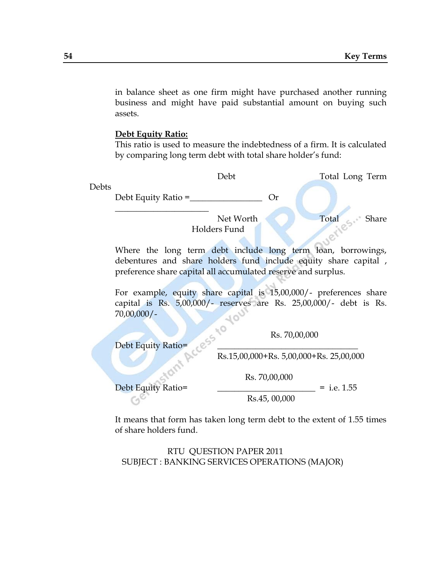in balance sheet as one firm might have purchased another running business and might have paid substantial amount on buying such assets.

### **Debt Equity Ratio:**

This ratio is used to measure the indebtedness of a firm. It is calculated by comparing long term debt with total share holder"s fund:



For example, equity share capital is 15,00,000/- preferences share capital is Rs. 5,00,000/- reserves are Rs. 25,00,000/- debt is Rs. 70,00,000/-

 $\sim$ 

Rs. 70,00,000

Debt Equity Ratio= Rs.15,00,000+Rs. 5,00,000+Rs. 25,00,000

Debt Equity Ratio= \_\_\_\_\_\_\_\_\_\_\_\_\_\_\_\_\_\_\_\_\_\_\_ = i.e. 1.55 Rs.45, 00,000

Rs. 70,00,000

It means that form has taken long term debt to the extent of 1.55 times of share holders fund.

RTU QUESTION PAPER 2011 SUBJECT : BANKING SERVICES OPERATIONS (MAJOR)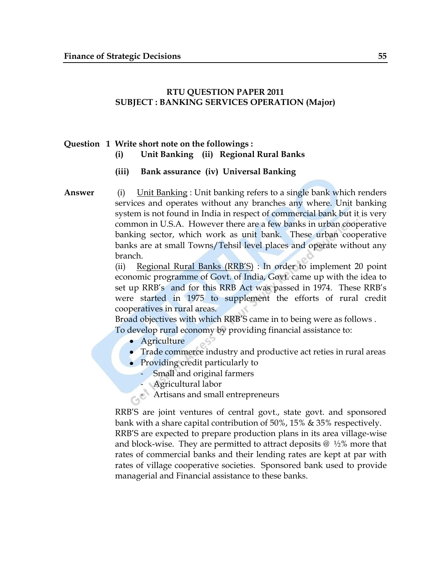## **RTU QUESTION PAPER 2011 SUBJECT : BANKING SERVICES OPERATION (Major)**

## **Question 1 Write short note on the followings : (i) Unit Banking (ii) Regional Rural Banks**

## **(iii) Bank assurance (iv) Universal Banking**

**Answer** (i) Unit Banking : Unit banking refers to a single bank which renders services and operates without any branches any where. Unit banking system is not found in India in respect of commercial bank but it is very common in U.S.A. However there are a few banks in urban cooperative banking sector, which work as unit bank. These urban cooperative banks are at small Towns/Tehsil level places and operate without any branch.

> (ii) Regional Rural Banks (RRB"S) : In order to implement 20 point economic programme of Govt. of India, Govt. came up with the idea to set up RRB's and for this RRB Act was passed in 1974. These RRB's were started in 1975 to supplement the efforts of rural credit cooperatives in rural areas.

Broad objectives with which RRB"S came in to being were as follows . To develop rural economy by providing financial assistance to:

- Agriculture
- Trade commerce industry and productive act reties in rural areas
- Providing credit particularly to
	- Small and original farmers
	- Agricultural labor
- **Artisans and small entrepreneurs**

RRB"S are joint ventures of central govt., state govt. and sponsored bank with a share capital contribution of 50%, 15% & 35% respectively. RRB"S are expected to prepare production plans in its area village-wise and block-wise. They are permitted to attract deposits  $\omega$  1/2% more that rates of commercial banks and their lending rates are kept at par with rates of village cooperative societies. Sponsored bank used to provide managerial and Financial assistance to these banks.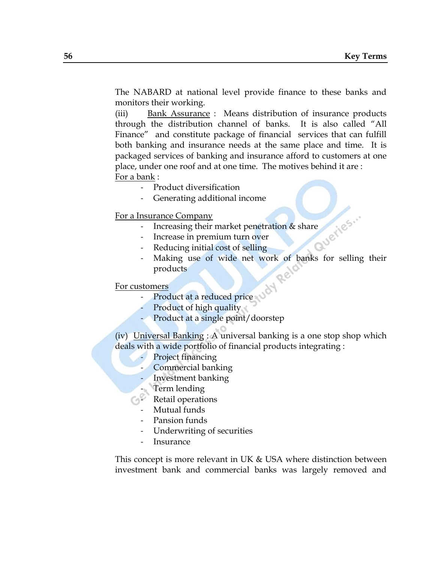The NABARD at national level provide finance to these banks and monitors their working.

(iii) Bank Assurance : Means distribution of insurance products through the distribution channel of banks. It is also called "All Finance" and constitute package of financial services that can fulfill both banking and insurance needs at the same place and time. It is packaged services of banking and insurance afford to customers at one place, under one roof and at one time. The motives behind it are : For a bank :

- Product diversification
- Generating additional income

For a Insurance Company

- Increasing their market penetration & share<br>Increase in premium turn over<br>Reducing initial cost of
- Increase in premium turn over
- Reducing initial cost of selling
- Making use of wide net work of banks for selling their products

#### For customers

- Product at a reduced price
- Product of high quality
- Product at a single point/doorstep

(iv) Universal Banking : A universal banking is a one stop shop which deals with a wide portfolio of financial products integrating :

- Project financing
- Commercial banking
- Investment banking
- Term lending
- Retail operations
- Mutual funds
- Pansion funds
- Underwriting of securities
- **Insurance**

This concept is more relevant in UK & USA where distinction between investment bank and commercial banks was largely removed and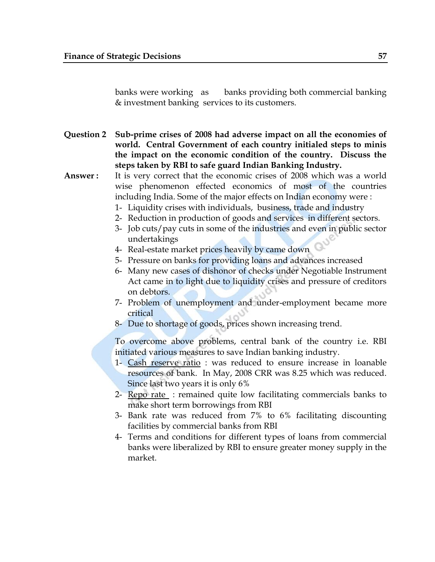banks were working as banks providing both commercial banking & investment banking services to its customers.

- **Question 2 Sub-prime crises of 2008 had adverse impact on all the economies of world. Central Government of each country initialed steps to minis the impact on the economic condition of the country. Discuss the steps taken by RBI to safe guard Indian Banking Industry.**
- **Answer :** It is very correct that the economic crises of 2008 which was a world wise phenomenon effected economics of most of the countries including India. Some of the major effects on Indian economy were :
	- 1- Liquidity crises with individuals, business, trade and industry
	- 2- Reduction in production of goods and services in different sectors.
	- 3- Job cuts/pay cuts in some of the industries and even in public sector undertakings
	- 4- Real-estate market prices heavily by came down
	- 5- Pressure on banks for providing loans and advances increased
	- 6- Many new cases of dishonor of checks under Negotiable Instrument Act came in to light due to liquidity crises and pressure of creditors on debtors.
	- 7- Problem of unemployment and under-employment became more critical
	- 8- Due to shortage of goods, prices shown increasing trend.

To overcome above problems, central bank of the country i.e. RBI initiated various measures to save Indian banking industry.

- 1- Cash reserve ratio : was reduced to ensure increase in loanable resources of bank. In May, 2008 CRR was 8.25 which was reduced. Since last two years it is only 6%
- 2- Repo rate : remained quite low facilitating commercials banks to make short term borrowings from RBI
- 3- Bank rate was reduced from 7% to 6% facilitating discounting facilities by commercial banks from RBI
- 4- Terms and conditions for different types of loans from commercial banks were liberalized by RBI to ensure greater money supply in the market.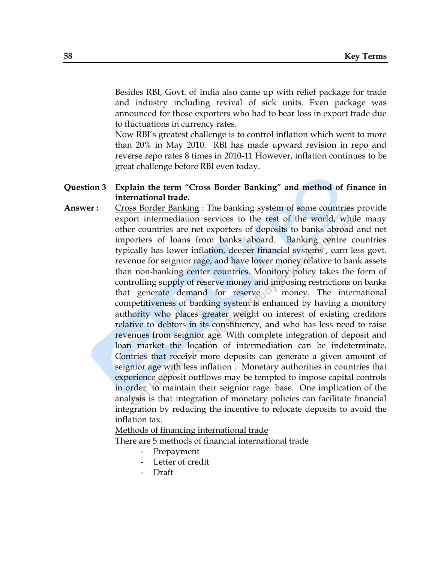Besides RBI, Govt. of India also came up with relief package for trade and industry including revival of sick units. Even package was announced for those exporters who had to bear loss in export trade due to fluctuations in currency rates.

Now RBI"s greatest challenge is to control inflation which went to more than 20% in May 2010. RBI has made upward revision in repo and reverse repo rates 8 times in 2010-11 However, inflation continues to be great challenge before RBI even today.

- **Question 3 Explain the term "Cross Border Banking" and method of finance in international trade.**
- **Answer :** Cross Border Banking : The banking system of some countries provide export intermediation services to the rest of the world, while many other countries are net exporters of deposits to banks abroad and net importers of loans from banks aboard. Banking centre countries typically has lower inflation, deeper financial systems , earn less govt. revenue for seignior rage, and have lower money relative to bank assets than non-banking center countries. Monitory policy takes the form of controlling supply of reserve money and imposing restrictions on banks that generate demand for reserve money. The international competitiveness of banking system is enhanced by having a monitory authority who places greater weight on interest of existing creditors relative to debtors in its constituency, and who has less need to raise revenues from seignior age. With complete integration of deposit and loan market the location of intermediation can be indeterminate. Contries that receive more deposits can generate a given amount of seignior age with less inflation . Monetary authorities in countries that experience deposit outflows may be tempted to impose capital controls in order to maintain their seignior rage base. One implication of the analysis is that integration of monetary policies can facilitate financial integration by reducing the incentive to relocate deposits to avoid the inflation tax.

Methods of financing international trade

There are 5 methods of financial international trade

- Prepayment
- Letter of credit
- Draft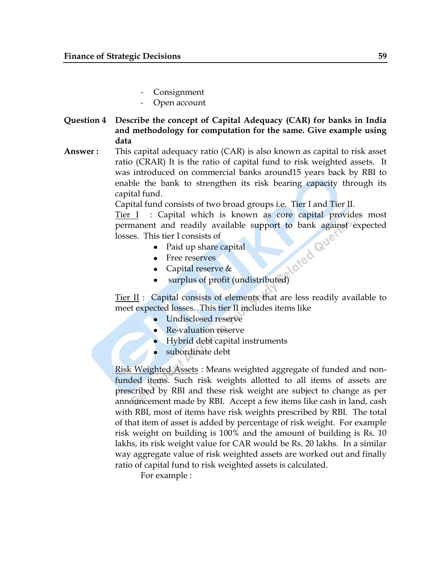- **Consignment**
- Open account
- **Question 4 Describe the concept of Capital Adequacy (CAR) for banks in India and methodology for computation for the same. Give example using data**
- **Answer :** This capital adequacy ratio (CAR) is also known as capital to risk asset ratio (CRAR) It is the ratio of capital fund to risk weighted assets. It was introduced on commercial banks around15 years back by RBI to enable the bank to strengthen its risk bearing capacity through its capital fund.

Capital fund consists of two broad groups i.e. Tier I and Tier II.

Tier I : Capital which is known as core capital provides most permanent and readily available support to bank against expected<br>losses. This tier I consists of<br>• Paid up share capital<br>• Free reserves<br>• Canital losses. This tier I consists of

- Paid up share capital
- Free reserves
- Capital reserve &
- surplus of profit (undistributed)

Tier II : Capital consists of elements that are less readily available to meet expected losses. This tier II includes items like

- Undisclosed reserve
- Re-valuation reserve
- Hybrid debt capital instruments
- subordinate debt

Risk Weighted Assets : Means weighted aggregate of funded and nonfunded items. Such risk weights allotted to all items of assets are prescribed by RBI and these risk weight are subject to change as per announcement made by RBI. Accept a few items like cash in land, cash with RBI, most of items have risk weights prescribed by RBI. The total of that item of asset is added by percentage of risk weight. For example risk weight on building is 100% and the amount of building is Rs. 10 lakhs, its risk weight value for CAR would be Rs. 20 lakhs. In a similar way aggregate value of risk weighted assets are worked out and finally ratio of capital fund to risk weighted assets is calculated.

For example :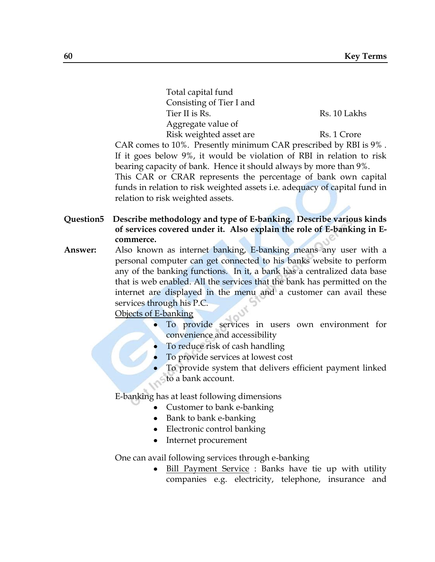| Total capital fund                                                                                   |              |
|------------------------------------------------------------------------------------------------------|--------------|
| Consisting of Tier I and                                                                             |              |
| Tier II is Rs.                                                                                       | Rs. 10 Lakhs |
| Aggregate value of                                                                                   |              |
| Risk weighted asset are                                                                              | Rs. 1 Crore  |
| $\Gamma_{\rm O}$ and to 10 <sup>0</sup> Dressortly minimum $\Gamma_{\rm A}$ D prescribed by DRI is ( |              |

CAR comes to 10%. Presently minimum CAR prescribed by RBI is 9% . If it goes below 9%, it would be violation of RBI in relation to risk bearing capacity of bank. Hence it should always by more than 9%. This CAR or CRAR represents the percentage of bank own capital funds in relation to risk weighted assets i.e. adequacy of capital fund in relation to risk weighted assets.

- **Question5 Describe methodology and type of E-banking. Describe various kinds of services covered under it. Also explain the role of E-banking in Ecommerce.**
- **Answer:** Also known as internet banking, E-banking means any user with a personal computer can get connected to his banks website to perform any of the banking functions. In it, a bank has a centralized data base that is web enabled. All the services that the bank has permitted on the internet are displayed in the menu and a customer can avail these services through his P.C.

Objects of E-banking

- To provide services in users own environment for convenience and accessibility
- To reduce risk of cash handling
- To provide services at lowest cost
- To provide system that delivers efficient payment linked to a bank account.

E-banking has at least following dimensions

- Customer to bank e-banking
- Bank to bank e-banking
- Electronic control banking
- Internet procurement

One can avail following services through e-banking

Bill Payment Service : Banks have tie up with utility  $\bullet$ companies e.g. electricity, telephone, insurance and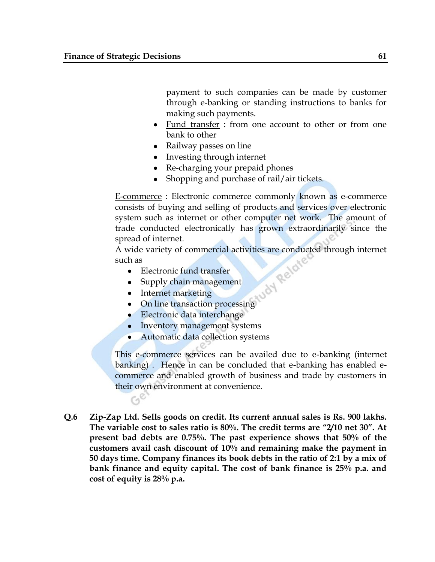payment to such companies can be made by customer through e-banking or standing instructions to banks for making such payments.

- Fund transfer : from one account to other or from one bank to other
- Railway passes on line
- Investing through internet
- Re-charging your prepaid phones
- Shopping and purchase of rail/air tickets.

E-commerce : Electronic commerce commonly known as e-commerce consists of buying and selling of products and services over electronic system such as internet or other computer net work. The amount of trade conducted electronically has grown extraordinarily since the spread of internet.

A wide variety of commercial activities are conducted through internet<br>such as<br>• Electronic fund transfer<br>• Supply chain management<br>• Internet marketing<br>• On i such as

- Electronic fund transfer
- Supply chain management
- Internet marketing

 $C_2^{\mathbb{C}}$ 

- On line transaction processing
- Electronic data interchange
- Inventory management systems
- Automatic data collection systems

This e-commerce services can be availed due to e-banking (internet banking) . Hence in can be concluded that e-banking has enabled ecommerce and enabled growth of business and trade by customers in their own environment at convenience.

**Q.6 Zip-Zap Ltd. Sells goods on credit. Its current annual sales is Rs. 900 lakhs. The variable cost to sales ratio is 80%. The credit terms are "2/10 net 30". At present bad debts are 0.75%. The past experience shows that 50% of the customers avail cash discount of 10% and remaining make the payment in 50 days time. Company finances its book debts in the ratio of 2:1 by a mix of bank finance and equity capital. The cost of bank finance is 25% p.a. and cost of equity is 28% p.a.**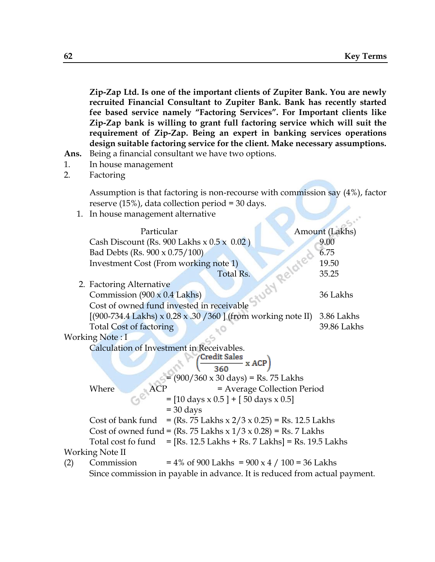**Zip-Zap Ltd. Is one of the important clients of Zupiter Bank. You are newly recruited Financial Consultant to Zupiter Bank. Bank has recently started fee based service namely "Factoring Services". For Important clients like Zip-Zap bank is willing to grant full factoring service which will suit the requirement of Zip-Zap. Being an expert in banking services operations design suitable factoring service for the client. Make necessary assumptions. Ans.** Being a financial consultant we have two options.

- 1. In house management
- 2. Factoring

Assumption is that factoring is non-recourse with commission say (4%), factor reserve (15%), data collection period = 30 days.

1. In house management alternative

|     | Particular                                |                                                                                              |                             | Amount (Lakhs) |
|-----|-------------------------------------------|----------------------------------------------------------------------------------------------|-----------------------------|----------------|
|     |                                           | Cash Discount (Rs. 900 Lakhs $x$ 0.5 $x$ 0.02)                                               |                             | 9.00           |
|     | Bad Debts (Rs. 900 x 0.75/100)            |                                                                                              |                             | 6.75           |
|     |                                           | Investment Cost (From working note 1)                                                        |                             | 19.50          |
|     |                                           | Total Rs.                                                                                    |                             | 35.25          |
|     | 2. Factoring Alternative                  |                                                                                              | Study Related               |                |
|     | Commission $(900 \times 0.4$ Lakhs)       |                                                                                              |                             | 36 Lakhs       |
|     |                                           | Cost of owned fund invested in receivable                                                    |                             |                |
|     |                                           | $[(900-734.4 \text{ Lakhs}) \times 0.28 \times .30 / 360]$ (from working note II) 3.86 Lakhs |                             |                |
|     | <b>Total Cost of factoring</b>            |                                                                                              |                             | 39.86 Lakhs    |
|     | Working Note: I                           |                                                                                              |                             |                |
|     | Calculation of Investment in Receivables. |                                                                                              |                             |                |
|     |                                           | $\frac{\text{Credit Sales}}{360}$ x ACP)                                                     |                             |                |
|     |                                           |                                                                                              |                             |                |
|     |                                           | $(900/360 \times 30 \text{ days}) = \text{Rs.}$ 75 Lakhs                                     |                             |                |
|     | Where                                     |                                                                                              | = Average Collection Period |                |
|     |                                           | $=[10 \text{ days} \times 0.5] + [50 \text{ days} \times 0.5]$                               |                             |                |
|     |                                           | $=$ 30 days                                                                                  |                             |                |
|     | Cost of bank fund                         | $=$ (Rs. 75 Lakhs x 2/3 x 0.25) = Rs. 12.5 Lakhs                                             |                             |                |
|     |                                           | Cost of owned fund = (Rs. 75 Lakhs $x$ 1/3 $x$ 0.28) = Rs. 7 Lakhs                           |                             |                |
|     |                                           | Total cost fo fund $=$ [Rs. 12.5 Lakhs + Rs. 7 Lakhs] = Rs. 19.5 Lakhs                       |                             |                |
|     | Working Note II                           |                                                                                              |                             |                |
| (2) | Commission                                | $= 4\%$ of 900 Lakhs = 900 x 4 / 100 = 36 Lakhs                                              |                             |                |
|     |                                           | Since commission in payable in advance. It is reduced from actual payment.                   |                             |                |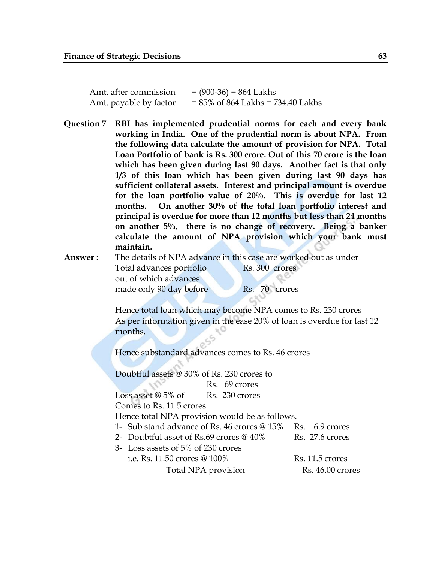| Amt. after commission  | $= (900-36) = 864$ Lakhs             |
|------------------------|--------------------------------------|
| Amt. payable by factor | $= 85\%$ of 864 Lakhs = 734.40 Lakhs |

**Question 7 RBI has implemented prudential norms for each and every bank working in India. One of the prudential norm is about NPA. From the following data calculate the amount of provision for NPA. Total Loan Portfolio of bank is Rs. 300 crore. Out of this 70 crore is the loan which has been given during last 90 days. Another fact is that only 1/3 of this loan which has been given during last 90 days has sufficient collateral assets. Interest and principal amount is overdue for the loan portfolio value of 20%. This is overdue for last 12 months. On another 30% of the total loan portfolio interest and principal is overdue for more than 12 months but less than 24 months on another 5%, there is no change of recovery. Being a banker calculate the amount of NPA provision which your bank must maintain.**

**Answer :** The details of NPA advance in this case are worked out as under Total advances portfolio Rs. 300 crores out of which advances made only 90 day before Rs. 70 crores

> Hence total loan which may become NPA comes to Rs. 230 crores As per information given in the ease 20% of loan is overdue for last 12 months.

Hence substandard advances comes to Rs. 46 crores

Doubtful assets @ 30% of Rs. 230 crores to Rs. 69 crores Loss asset  $@5\%$  of Rs. 230 crores Comes to Rs. 11.5 crores Hence total NPA provision would be as follows. 1- Sub stand advance of Rs. 46 crores @ 15% Rs. 6.9 crores 2- Doubtful asset of Rs.69 crores  $@40\%$  Rs. 27.6 crores 3- Loss assets of 5% of 230 crores i.e. Rs. 11.50 crores @ 100% Rs. 11.5 crores Total NPA provision Rs. 46.00 crores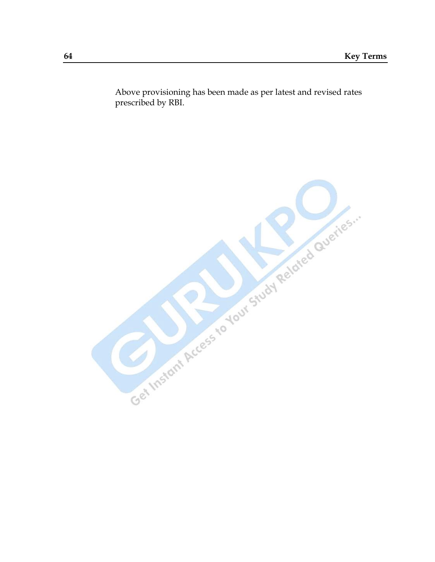Above provisioning has been made as per latest and revised rates prescribed by RBI.

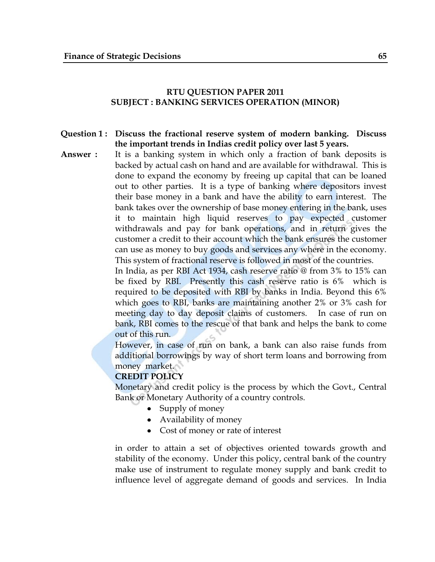## **RTU QUESTION PAPER 2011 SUBJECT : BANKING SERVICES OPERATION (MINOR)**

## **Question 1 : Discuss the fractional reserve system of modern banking. Discuss the important trends in Indias credit policy over last 5 years.**

**Answer :** It is a banking system in which only a fraction of bank deposits is backed by actual cash on hand and are available for withdrawal. This is done to expand the economy by freeing up capital that can be loaned out to other parties. It is a type of banking where depositors invest their base money in a bank and have the ability to earn interest. The bank takes over the ownership of base money entering in the bank, uses it to maintain high liquid reserves to pay expected customer withdrawals and pay for bank operations, and in return gives the customer a credit to their account which the bank ensures the customer can use as money to buy goods and services any where in the economy. This system of fractional reserve is followed in most of the countries.

> In India, as per RBI Act 1934, cash reserve ratio @ from 3% to 15% can be fixed by RBI. Presently this cash reserve ratio is 6% which is required to be deposited with RBI by banks in India. Beyond this 6% which goes to RBI, banks are maintaining another 2% or 3% cash for meeting day to day deposit claims of customers. In case of run on bank, RBI comes to the rescue of that bank and helps the bank to come out of this run.

> However, in case of run on bank, a bank can also raise funds from additional borrowings by way of short term loans and borrowing from money market.

# **CREDIT POLICY**

Monetary and credit policy is the process by which the Govt., Central Bank or Monetary Authority of a country controls.

- Supply of money
- Availability of money
- Cost of money or rate of interest

in order to attain a set of objectives oriented towards growth and stability of the economy. Under this policy, central bank of the country make use of instrument to regulate money supply and bank credit to influence level of aggregate demand of goods and services. In India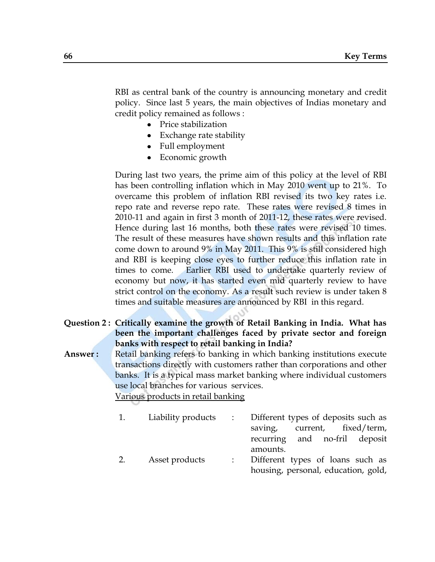RBI as central bank of the country is announcing monetary and credit policy. Since last 5 years, the main objectives of Indias monetary and credit policy remained as follows :

- Price stabilization
- Exchange rate stability
- Full employment
- Economic growth

During last two years, the prime aim of this policy at the level of RBI has been controlling inflation which in May 2010 went up to 21%. To overcame this problem of inflation RBI revised its two key rates i.e. repo rate and reverse repo rate. These rates were revised 8 times in 2010-11 and again in first 3 month of 2011-12, these rates were revised. Hence during last 16 months, both these rates were revised 10 times. The result of these measures have shown results and this inflation rate come down to around 9% in May 2011. This 9% is still considered high and RBI is keeping close eyes to further reduce this inflation rate in times to come. Earlier RBI used to undertake quarterly review of economy but now, it has started even mid quarterly review to have strict control on the economy. As a result such review is under taken 8 times and suitable measures are announced by RBI in this regard.

## **Question 2 : Critically examine the growth of Retail Banking in India. What has been the important challenges faced by private sector and foreign banks with respect to retail banking in India?**

**Answer :** Retail banking refers to banking in which banking institutions execute transactions directly with customers rather than corporations and other banks. It is a typical mass market banking where individual customers use local branches for various services.

Various products in retail banking

|    | Liability products : | Different types of deposits such as |
|----|----------------------|-------------------------------------|
|    |                      | current, fixed/term,<br>saving,     |
|    |                      | recurring and no-fril deposit       |
|    |                      | amounts.                            |
| 2. | Asset products       | Different types of loans such as    |

housing, personal, education, gold,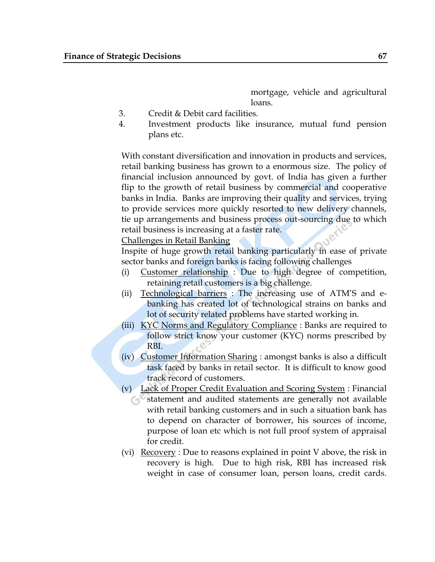mortgage, vehicle and agricultural loans.

- 3. Credit & Debit card facilities.
- 4. Investment products like insurance, mutual fund pension plans etc.

With constant diversification and innovation in products and services, retail banking business has grown to a enormous size. The policy of financial inclusion announced by govt. of India has given a further flip to the growth of retail business by commercial and cooperative banks in India. Banks are improving their quality and services, trying to provide services more quickly resorted to new delivery channels, tie up arrangements and business process out-sourcing due to which retail business is increasing at a faster rate.

Challenges in Retail Banking

Inspite of huge growth retail banking particularly in ease of private sector banks and foreign banks is facing following challenges

- (i) Customer relationship : Due to high degree of competition, retaining retail customers is a big challenge.
- (ii) Technological barriers : The increasing use of ATM"S and ebanking has created lot of technological strains on banks and lot of security related problems have started working in.
- (iii) KYC Norms and Regulatory Compliance : Banks are required to follow strict know your customer (KYC) norms prescribed by RBI.
- (iv) Customer Information Sharing : amongst banks is also a difficult task faced by banks in retail sector. It is difficult to know good track record of customers.
- (v) Lack of Proper Credit Evaluation and Scoring System : Financial statement and audited statements are generally not available with retail banking customers and in such a situation bank has to depend on character of borrower, his sources of income, purpose of loan etc which is not full proof system of appraisal for credit.
- (vi)  $\frac{\text{Recovery}}{\text{Recovery}}$ : Due to reasons explained in point V above, the risk in recovery is high. Due to high risk, RBI has increased risk weight in case of consumer loan, person loans, credit cards.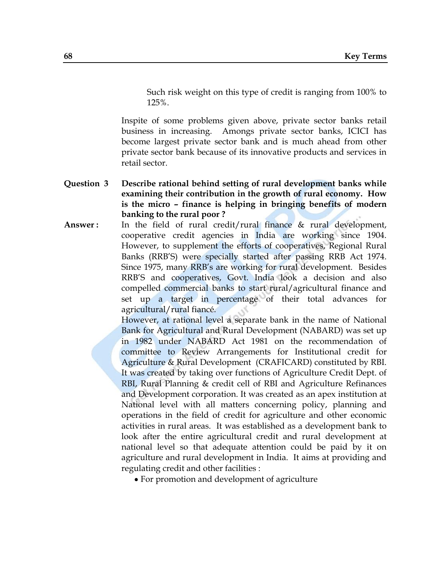Such risk weight on this type of credit is ranging from 100% to 125%.

Inspite of some problems given above, private sector banks retail business in increasing. Amongs private sector banks, ICICI has become largest private sector bank and is much ahead from other private sector bank because of its innovative products and services in retail sector.

- **Question 3 Describe rational behind setting of rural development banks while examining their contribution in the growth of rural economy. How is the micro – finance is helping in bringing benefits of modern banking to the rural poor ?**
- **Answer:** In the field of rural credit/rural finance & rural development, cooperative credit agencies in India are working since 1904. However, to supplement the efforts of cooperatives, Regional Rural Banks (RRB"S) were specially started after passing RRB Act 1974. Since 1975, many RRB"s are working for rural development. Besides RRB"S and cooperatives, Govt. India look a decision and also compelled commercial banks to start rural/agricultural finance and set up a target in percentage of their total advances for agricultural/rural fiancé.

However, at rational level a separate bank in the name of National Bank for Agricultural and Rural Development (NABARD) was set up in 1982 under NABARD Act 1981 on the recommendation of committee to Review Arrangements for Institutional credit for Agriculture & Rural Development (CRAFICARD) constituted by RBI. It was created by taking over functions of Agriculture Credit Dept. of RBI, Rural Planning & credit cell of RBI and Agriculture Refinances and Development corporation. It was created as an apex institution at National level with all matters concerning policy, planning and operations in the field of credit for agriculture and other economic activities in rural areas. It was established as a development bank to look after the entire agricultural credit and rural development at national level so that adequate attention could be paid by it on agriculture and rural development in India. It aims at providing and regulating credit and other facilities :

For promotion and development of agriculture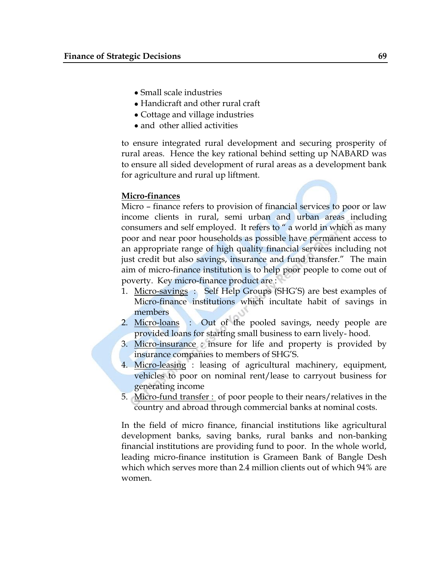- Small scale industries
- Handicraft and other rural craft
- Cottage and village industries
- and other allied activities

to ensure integrated rural development and securing prosperity of rural areas. Hence the key rational behind setting up NABARD was to ensure all sided development of rural areas as a development bank for agriculture and rural up liftment.

# **Micro-finances**

Micro – finance refers to provision of financial services to poor or law income clients in rural, semi urban and urban areas including consumers and self employed. It refers to " a world in which as many poor and near poor households as possible have permanent access to an appropriate range of high quality financial services including not just credit but also savings, insurance and fund transfer." The main aim of micro-finance institution is to help poor people to come out of poverty. Key micro-finance product are :

- 1. Micro-savings : Self Help Groups (SHG'S) are best examples of Micro-finance institutions which incultate habit of savings in members
- 2. Micro-loans : Out of the pooled savings, needy people are provided loans for starting small business to earn lively- hood.
- 3. Micro-insurance : insure for life and property is provided by insurance companies to members of SHG"S.
- 4. Micro-leasing : leasing of agricultural machinery, equipment, vehicles to poor on nominal rent/lease to carryout business for generating income
- 5. Micro-fund transfer : of poor people to their nears/relatives in the country and abroad through commercial banks at nominal costs.

In the field of micro finance, financial institutions like agricultural development banks, saving banks, rural banks and non-banking financial institutions are providing fund to poor. In the whole world, leading micro-finance institution is Grameen Bank of Bangle Desh which which serves more than 2.4 million clients out of which 94% are women.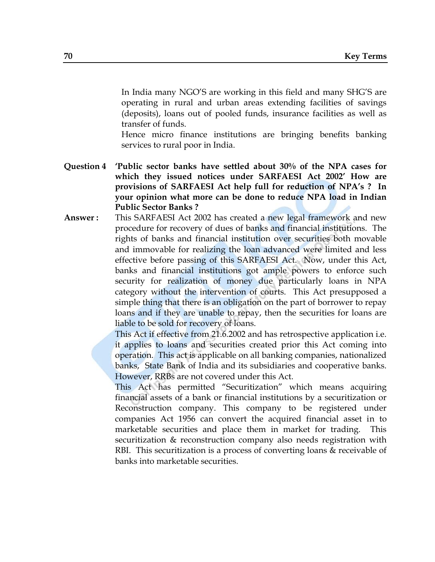In India many NGO"S are working in this field and many SHG"S are operating in rural and urban areas extending facilities of savings (deposits), loans out of pooled funds, insurance facilities as well as transfer of funds.

Hence micro finance institutions are bringing benefits banking services to rural poor in India.

- **Question 4 "Public sector banks have settled about 30% of the NPA cases for which they issued notices under SARFAESI Act 2002" How are provisions of SARFAESI Act help full for reduction of NPA"s ? In your opinion what more can be done to reduce NPA load in Indian Public Sector Banks ?**
- **Answer :** This SARFAESI Act 2002 has created a new legal framework and new procedure for recovery of dues of banks and financial institutions. The rights of banks and financial institution over securities both movable and immovable for realizing the loan advanced were limited and less effective before passing of this SARFAESI Act. Now, under this Act, banks and financial institutions got ample powers to enforce such security for realization of money due particularly loans in NPA category without the intervention of courts. This Act presupposed a simple thing that there is an obligation on the part of borrower to repay loans and if they are unable to repay, then the securities for loans are liable to be sold for recovery of loans.

This Act if effective from 21.6.2002 and has retrospective application i.e. it applies to loans and securities created prior this Act coming into operation. This act is applicable on all banking companies, nationalized banks, State Bank of India and its subsidiaries and cooperative banks. However, RRBs are not covered under this Act.

This Act has permitted "Securitization" which means acquiring financial assets of a bank or financial institutions by a securitization or Reconstruction company. This company to be registered under companies Act 1956 can convert the acquired financial asset in to marketable securities and place them in market for trading. This securitization & reconstruction company also needs registration with RBI. This securitization is a process of converting loans & receivable of banks into marketable securities.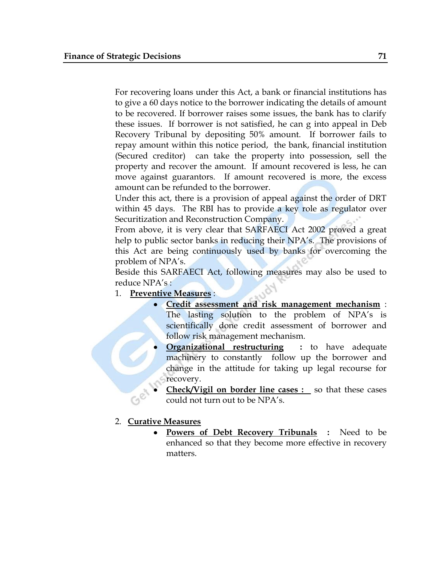For recovering loans under this Act, a bank or financial institutions has to give a 60 days notice to the borrower indicating the details of amount to be recovered. If borrower raises some issues, the bank has to clarify these issues. If borrower is not satisfied, he can g into appeal in Deb Recovery Tribunal by depositing 50% amount. If borrower fails to repay amount within this notice period, the bank, financial institution (Secured creditor) can take the property into possession, sell the property and recover the amount. If amount recovered is less, he can move against guarantors. If amount recovered is more, the excess amount can be refunded to the borrower.

Under this act, there is a provision of appeal against the order of DRT within 45 days. The RBI has to provide a key role as regulator over Securitization and Reconstruction Company.

From above, it is very clear that SARFAECI Act 2002 proved a great help to public sector banks in reducing their NPA's. The provisions of this Act are being continuously used by banks for overcoming the problem of NPA's.

Beside this SARFAECI Act, following measures may also be used to reduce NPA's :

- 1. **Preventive Measures** :
	- **Credit assessment and risk management mechanism** :  $\bullet$ The lasting solution to the problem of NPA's is scientifically done credit assessment of borrower and follow risk management mechanism.
	- **Organizational restructuring : to have adequate** machinery to constantly follow up the borrower and change in the attitude for taking up legal recourse for recovery.
	- **Check/Vigil on border line cases :** so that these cases could not turn out to be NPA"s.

## 2. **Curative Measures**

**Powers of Debt Recovery Tribunals** : Need to be  $\bullet$ enhanced so that they become more effective in recovery matters.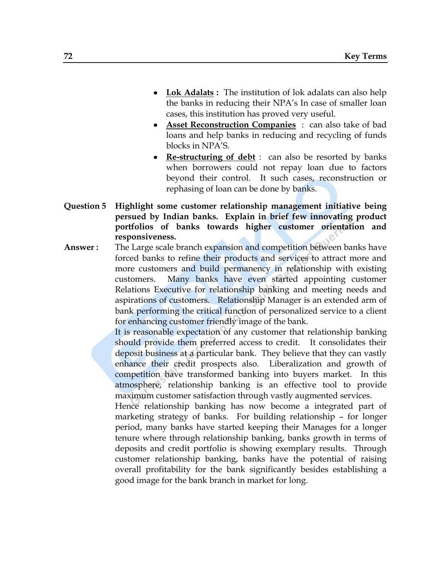- **Lok Adalats :** The institution of lok adalats can also help  $\bullet$ the banks in reducing their NPA"s In case of smaller loan cases, this institution has proved very useful.
- **Asset Reconstruction Companies** : can also take of bad loans and help banks in reducing and recycling of funds blocks in NPA"S.
- **Re-structuring of debt** : can also be resorted by banks when borrowers could not repay loan due to factors beyond their control. It such cases, reconstruction or rephasing of loan can be done by banks.
- **Question 5 Highlight some customer relationship management initiative being persued by Indian banks. Explain in brief few innovating product portfolios of banks towards higher customer orientation and responsiveness.**
- **Answer :** The Large scale branch expansion and competition between banks have forced banks to refine their products and services to attract more and more customers and build permanency in relationship with existing customers. Many banks have even started appointing customer Relations Executive for relationship banking and meeting needs and aspirations of customers. Relationship Manager is an extended arm of bank performing the critical function of personalized service to a client for enhancing customer friendly image of the bank.

It is reasonable expectation of any customer that relationship banking should provide them preferred access to credit. It consolidates their deposit business at a particular bank. They believe that they can vastly enhance their credit prospects also. Liberalization and growth of competition have transformed banking into buyers market. In this atmosphere, relationship banking is an effective tool to provide maximum customer satisfaction through vastly augmented services.

Hence relationship banking has now become a integrated part of marketing strategy of banks. For building relationship – for longer period, many banks have started keeping their Manages for a longer tenure where through relationship banking, banks growth in terms of deposits and credit portfolio is showing exemplary results. Through customer relationship banking, banks have the potential of raising overall profitability for the bank significantly besides establishing a good image for the bank branch in market for long.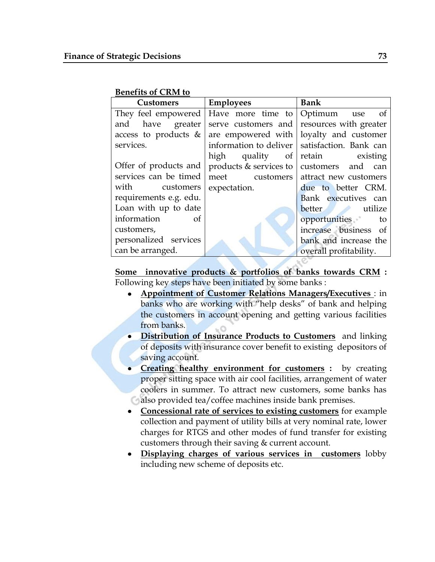| <b>Benefits of CRM to</b> |  |  |
|---------------------------|--|--|
|                           |  |  |

| <b>Customers</b>        | <b>Employees</b> | <b>Bank</b>                                                     |  |
|-------------------------|------------------|-----------------------------------------------------------------|--|
|                         |                  | They feel empowered   Have more time to $\sqrt{$ Optimum use of |  |
| and have greater        |                  | serve customers and resources with greater                      |  |
| access to products $\&$ |                  | are empowered with loyalty and customer                         |  |
| services.               |                  | information to deliver   satisfaction. Bank can                 |  |
|                         |                  | high quality of retain existing                                 |  |
| Offer of products and   |                  | products $\&$ services to customers and can                     |  |
| services can be timed   |                  | meet customers attract new customers                            |  |
| with customers          | expectation.     | due to better CRM.                                              |  |
| requirements e.g. edu.  |                  | Bank executives can                                             |  |
| Loan with up to date    |                  | better utilize                                                  |  |
| information of          |                  | opportunities to                                                |  |
| customers,              |                  | increase business of                                            |  |
| personalized services   |                  | bank and increase the                                           |  |
| can be arranged.        |                  | overall profitability.                                          |  |

**Some innovative products & portfolios of banks towards CRM :**  Following key steps have been initiated by some banks :

- **Appointment of Customer Relations Managers/Executives** : in banks who are working with "help desks" of bank and helping the customers in account opening and getting various facilities from banks.
- **Distribution of Insurance Products to Customers** and linking of deposits with insurance cover benefit to existing depositors of saving account.
- **Creating healthy environment for customers :** by creating proper sitting space with air cool facilities, arrangement of water coolers in summer. To attract new customers, some banks has also provided tea/coffee machines inside bank premises.
- **Concessional rate of services to existing customers** for example collection and payment of utility bills at very nominal rate, lower charges for RTGS and other modes of fund transfer for existing customers through their saving & current account.
- **Displaying charges of various services in customers** lobby including new scheme of deposits etc.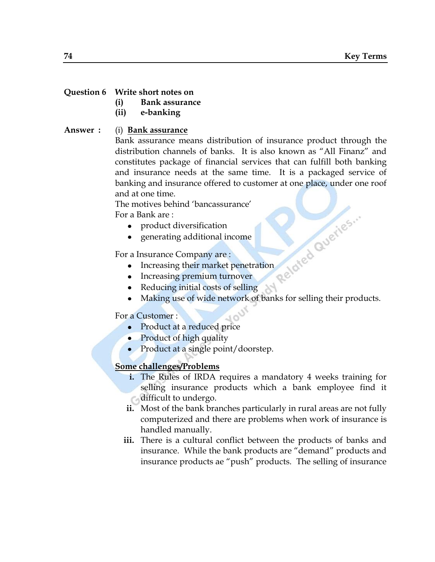#### **Question 6 Write short notes on**

- **(i) Bank assurance**
- **(ii) e-banking**

#### **Answer :** (i) **Bank assurance**

Bank assurance means distribution of insurance product through the distribution channels of banks. It is also known as "All Finanz" and constitutes package of financial services that can fulfill both banking and insurance needs at the same time. It is a packaged service of banking and insurance offered to customer at one place, under one roof and at one time.

The motives behind "bancassurance" For a Bank are : Increasing their market penetration<br>
Reducing their market penetration<br>
Reducing their Linux states and the set of the Reducing to the Reducing to the Reducing to the Reducing to the Reducing to the Reducing to the Reducin

- product diversification
- generating additional income

For a Insurance Company are :

- 
- Increasing premium turnover
- Reducing initial costs of selling
- Making use of wide network of banks for selling their products.

#### For a Customer :

- Product at a reduced price
- Product of high quality
- Product at a single point/doorstep.

### **Some challenges/Problems**

- **i.** The Rules of IRDA requires a mandatory 4 weeks training for selling insurance products which a bank employee find it difficult to undergo.
- **ii.** Most of the bank branches particularly in rural areas are not fully computerized and there are problems when work of insurance is handled manually.
- **iii.** There is a cultural conflict between the products of banks and insurance. While the bank products are "demand" products and insurance products ae "push" products. The selling of insurance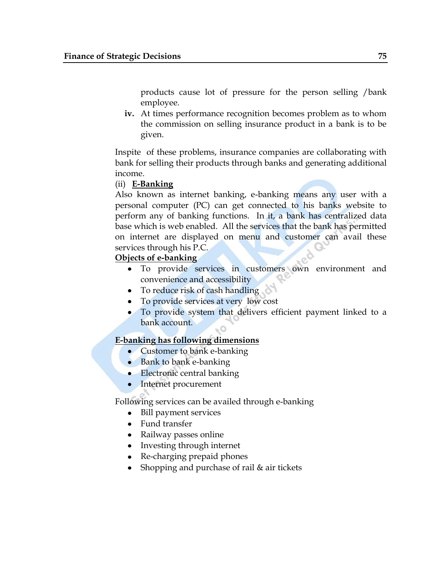products cause lot of pressure for the person selling /bank employee.

**iv.** At times performance recognition becomes problem as to whom the commission on selling insurance product in a bank is to be given.

Inspite of these problems, insurance companies are collaborating with bank for selling their products through banks and generating additional income.

### (ii) **E-Banking**

Also known as internet banking, e-banking means any user with a personal computer (PC) can get connected to his banks website to perform any of banking functions. In it, a bank has centralized data base which is web enabled. All the services that the bank has permitted on internet are displayed on menu and customer can avail these services through his P.C.

## **Objects of e-banking**

- To provide services in customers own environment and convenience and accessibility
- To reduce risk of cash handling
- To provide services at very low cost
- To provide system that delivers efficient payment linked to a bank account. O

# **E-banking has following dimensions**

- Customer to bank e-banking
- Bank to bank e-banking
- Electronic central banking
- Internet procurement

Following services can be availed through e-banking

- Bill payment services
- Fund transfer
- Railway passes online
- Investing through internet
- Re-charging prepaid phones
- Shopping and purchase of rail & air tickets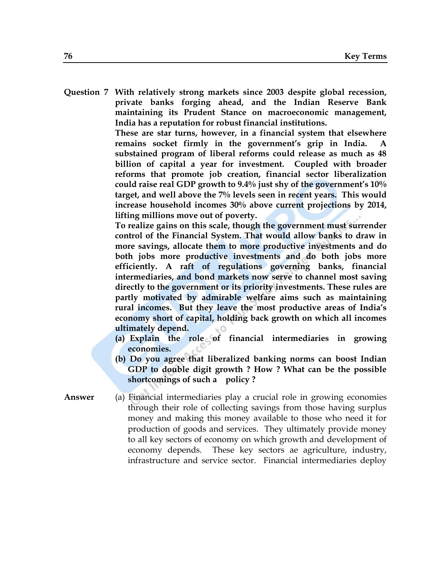**Question 7 With relatively strong markets since 2003 despite global recession, private banks forging ahead, and the Indian Reserve Bank maintaining its Prudent Stance on macroeconomic management, India has a reputation for robust financial institutions.**

> **These are star turns, however, in a financial system that elsewhere**  remains socket firmly in the government's grip in India. **substained program of liberal reforms could release as much as 48 billion of capital a year for investment. Coupled with broader reforms that promote job creation, financial sector liberalization could raise real GDP growth to 9.4% just shy of the government"s 10% target, and well above the 7% levels seen in recent years. This would increase household incomes 30% above current projections by 2014, lifting millions move out of poverty.**

> **To realize gains on this scale, though the government must surrender control of the Financial System. That would allow banks to draw in more savings, allocate them to more productive investments and do both jobs more productive investments and do both jobs more efficiently. A raft of regulations governing banks, financial intermediaries, and bond markets now serve to channel most saving directly to the government or its priority investments. These rules are partly motivated by admirable welfare aims such as maintaining rural incomes. But they leave the most productive areas of India"s economy short of capital, holding back growth on which all incomes ultimately depend.**

- **(a) Explain the role of financial intermediaries in growing economies.**
- **(b) Do you agree that liberalized banking norms can boost Indian GDP to double digit growth ? How ? What can be the possible shortcomings of such a policy ?**

**Answer** (a) Financial intermediaries play a crucial role in growing economies through their role of collecting savings from those having surplus money and making this money available to those who need it for production of goods and services. They ultimately provide money to all key sectors of economy on which growth and development of economy depends. These key sectors ae agriculture, industry, infrastructure and service sector. Financial intermediaries deploy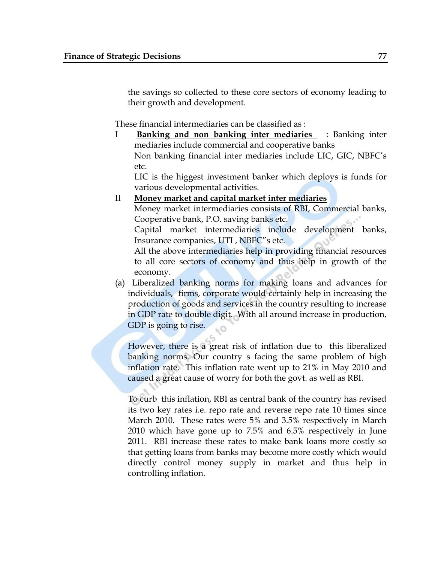the savings so collected to these core sectors of economy leading to their growth and development.

These financial intermediaries can be classified as :

I **Banking and non banking inter mediaries** : Banking inter mediaries include commercial and cooperative banks Non banking financial inter mediaries include LIC, GIC, NBFC"s etc.

LIC is the higgest investment banker which deploys is funds for various developmental activities.

### II **Money market and capital market inter mediaries**

Money market intermediaries consists of RBI, Commercial banks, Cooperative bank, P.O. saving banks etc.

Capital market intermediaries include development banks, Insurance companies, UTI , NBFC"s etc.

All the above intermediaries help in providing financial resources to all core sectors of economy and thus help in growth of the economy.

(a) Liberalized banking norms for making loans and advances for individuals, firms, corporate would certainly help in increasing the production of goods and services in the country resulting to increase in GDP rate to double digit. With all around increase in production, GDP is going to rise.

However, there is a great risk of inflation due to this liberalized banking norms. Our country s facing the same problem of high inflation rate. This inflation rate went up to 21% in May 2010 and caused a great cause of worry for both the govt. as well as RBI.

To curb this inflation, RBI as central bank of the country has revised its two key rates i.e. repo rate and reverse repo rate 10 times since March 2010. These rates were 5% and 3.5% respectively in March 2010 which have gone up to 7.5% and 6.5% respectively in June 2011. RBI increase these rates to make bank loans more costly so that getting loans from banks may become more costly which would directly control money supply in market and thus help in controlling inflation.